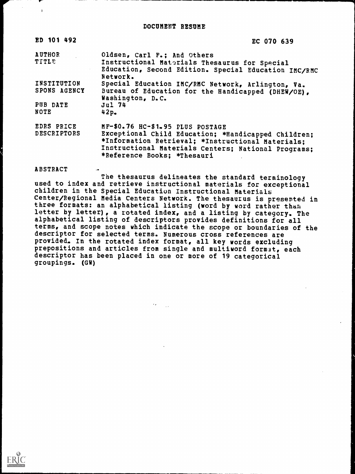| ED 101 492                       | EC 070 639                                                                                                                                                                                                                         |
|----------------------------------|------------------------------------------------------------------------------------------------------------------------------------------------------------------------------------------------------------------------------------|
| <b>AUTHOR</b>                    | Oldsen, Carl F.; And Others                                                                                                                                                                                                        |
| <b>TITLE</b>                     | Instructional Materials Thesaurus for Special<br>Education, Second Edition. Special Education IMC/RMC<br>Network.                                                                                                                  |
| INSTITUTION                      | Special Education IMC/RMC Network, Arlington, Va.                                                                                                                                                                                  |
| SPONS AGENCY                     | Bureau of Education for the Handicapped (DHEW/OE),<br>Washington, D.C.                                                                                                                                                             |
| PUB DATE<br>NOTE                 | Jul 74<br>42p <sub>2</sub>                                                                                                                                                                                                         |
| EDRS PRICE<br><b>DESCRIPTORS</b> | MF-\$0.76 HC-\$1.95 PLUS POSTAGE<br>Exceptional Child Education; *Handicapped Children;<br>*Information Retrieval; *Instructional Materials;<br>Instructional Materials Centers; National Programs;<br>*Reference Books: *Thesauri |

#### ABSTRACT

 $\mathbf{I}$ 

The thesaurus delineates the standard terminology used to index and retrieve instructional materials for exceptional children in the Special Education Instructional Materials Center/Regional Media Centers Network. The thesaurus is presented in three formats: an alphabetical listing (word by word rather than, letter by letter), a rotated index, and a listing by category. The alphabetical listing of descriptors provides definitions for all terms, and scope notes which indicate the scope or boundaries of the descriptor for selected terms. Numerous cross references are provided. In the rotated index format, all key words excluding prepositions and articles from single and multiword format, each descriptor has been placed in one or more of 19 categorical groupings. (GW)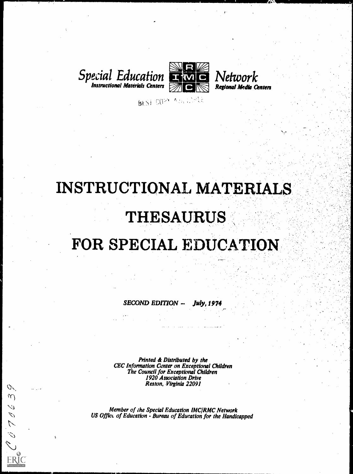



8651 00PM AVAILSELE

# INSTRUCTIONAL MATERIALS

# THESAURUS

# FOR SPECIAL EDUCATION

 $SECOND$   $EDITION - July$ , 1974

Printed & Distributed by the CEC Information Center on Exceptional Children The Council for Exceptional Children 1920 Association Drive Reston, Virginia 22091

 $C_{\kappa}$  $\gamma$ 

 $\psi$  $\mathcal{L}_{\mathcal{A}}$  $\tilde{\mathcal{L}}$  $\hat{\mathcal{L}}$ 

**ERIC** 

Member of the Special Education IMC/RMC Network US Office of Education - Bureau of Education for the Handicapped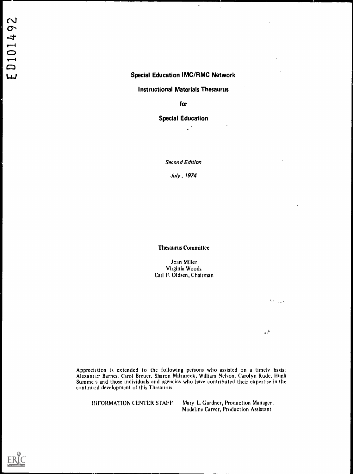## Special Education IMC/RMC Network

 $\bar{\phantom{a}}$ 

## Instructional Materials Thesaurus

for  $\qquadcdot$ 

 $\ddot{\phantom{a}}$ 

Special Education

Second Edition

July , 1974

Thesaurus Committee

Joan Miller Virginia Woods Carl F. Oldsen, Chairman

Appreciation is extended to the following persons who assisted on a timely basis: Alexander Barnes, Carol Breuer, Sharon Milzareck, William Nelson, Carolyn Rude, Hugh Summer; and those individuals and agencies who have contributed their expertise in the continued development of this Thesaurus.

INFORMATION CENTER STAFF: Mary L. Gardner, Production Manager; Madeline Carver, Production Assistant

 $\sqrt{2}$  ,  $\sqrt{2}$ 

лŹ

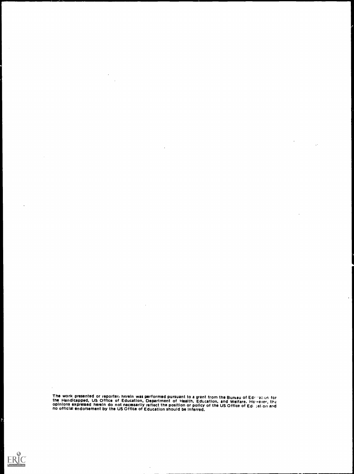The work presented or reporteri herein was performed pursuant to a grant from the Bureau of Editoral Certifican<br>the Handicapped, US Office of Education, Department of Health, Education, and Welfare. However, the<br>opinions e

 $\bar{z}$ 

 $\ddot{\phantom{a}}$ 

 $\ddot{\phantom{a}}$ 

 $\sim$ 

 $\ddot{\phantom{a}}$ 



 $\sim$   $\alpha$ 

 $\bar{\beta}$ 

 $\ddot{\phantom{a}}$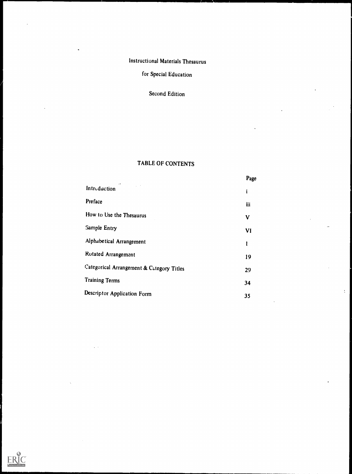# Instructional Materials Thesaurus

# for Special Education

# Second Edition

# TABLE OF CONTENTS

|                                           | Page      |
|-------------------------------------------|-----------|
| $\cdot$<br>Introduction                   | i         |
| Preface                                   | iii       |
| How to Use the Thesaurus                  | V         |
| Sample Entry                              | <b>VI</b> |
| Alphabetical Arrangement                  | 1         |
| Rotated Arrangement                       | 19        |
| Categorical Arrangement & Category Titles | 29        |
| <b>Training Terms</b>                     | 34        |
| Descriptor Application Form               | 35        |
|                                           |           |

 $\bar{\mathbb{C}}$ 

 $\overline{a}$ 

 $\ddot{\phantom{a}}$ 

ERIC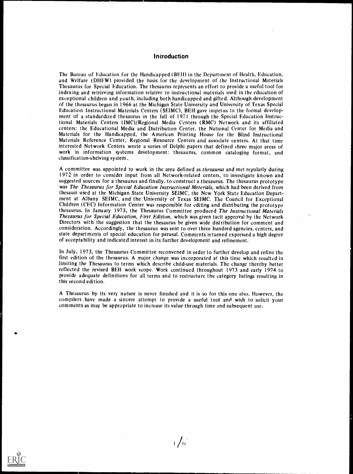#### Introduction

The Bureau of Education for the Handicapped (BEH) in the Department of Health, Education, and Welfare (DHEW) provided the basis for the development of the Instructional Materials Thesaurus for Special Education. The thesaurus represents an effort to provide a useful tool for indexing and retrieving information relative to instructional materials used in the education of exceptional children and youth, including both handicapped and gifted. Although development of the thesaurus began in 1966 at the Michigan State University and University of Texas Special Education Instructional Materials Centers (SEIMC), BEII gave impetus to the formal development of a standardized thesaurus in the fall of 1971 through the Special Education Instructional Materials Centers (1MC)/Regional Media Centers (RMC) Network and its affiliated centers: the Educational Media and Distribution Center, the National Center for Media and Materials for the Handicapped, the American Printing House for the Blind Instructional Materials Reference Center, Regional Resource Centers and associate centers. At that time interested Network Centers wrote a series of Delphi papers that defined three major areas of work in information systems development: thesaurus, common cataloging format, and classification-shelving system..

A committee was appointed to work in the area defined as thesaurus and met regularly during 1972 in order to consider input from all Network-related centers, to investigate known and suggested sources for a thesaurus and finally, to construct a thesaurus. The thesaurus prototype was The Thesaurus for Special Education Instructional Materials, which had been derived from thesauri used at the Michigan State University SEIMC, the New York State Education Department at Albany SEIMC, and the University of Texas SEIMC. The Council for Exceptional Children (CEC) Information Center was responsible for editing and distributing the prototype thesaurus. In January 1973, the Thesaurus Committee produced The Instructional Materials Thesaurus for Special Education, First Edition, which was given tacit approval by the Network Directors with the suggestion that the thesaurus be given wide distribution for comment and consideration. Accordingly, the thesaurus was sent to over three hundred agencies, centers, and state departments of special education for perusal. Comments returned expressed a high degree of acceptability and indicated interest in its further development and refinement.

In July, 1973, the Thesaurus Committee reconvened in order to further develop and refine the first edition of the thesaurus. A major change was incorporated at this time which resulted in limiting the Thesaurus to terms which describe child-use materials. The change thereby better reflected the revised BEH work scope. Work continued throughout 1973 and early 1974 to provide adequate definitions for all terms and to restructure the category listings resulting in this second edition.

A Thesaurus by its very nature is never finished and it is so for this one also. However, the compilers have made a sincere attempt to provide a useful tool and wish to solicit your comments as may be appropriate to increase its value through time and subsequent use.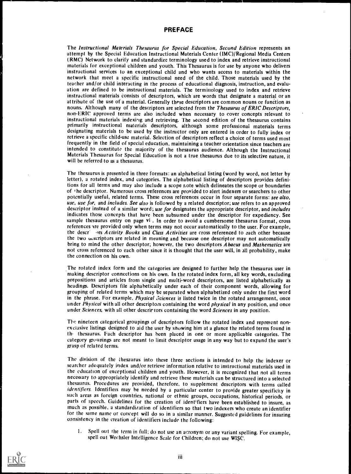## PREFACE

The Instructional Materials Thesaurus for Special Education, Second Edition represents an attempt by the Special Education Instructional Materials Center (IMC)/Regional Media Centers (RMC) Network to clarify and standardize terminology used to index and retrieve instructional tnaterials for exceptional children and youth. This Thesaurus is for use by anyone who delivers instructional services to an exceptional child and who wants access to materials within the network that meet a specific instructional need of the child. Those materials used by the teacher and/or child interacting in the process of educational diagnosis, instruction, and evaluation are defined to be instructional materials. The terminology used to index and retrieve instructional materials consists of descriptors, which are words that designate a material or an attribute of the use of a material. Generally these descriptors are common nouns or function as nouns. Although many of the descriptors are selected from the Thesaurus of ERIC Descriptors, non-ERIC approved terms are also included when necessary to cover concepts relevant to instructional materials indexing and retrieving. The second edition of the thesaurus contains primarily instructional materials descriptors, although some professional materials terms designating materials to be used by the instructor only are entered in order to fully index or retrieve a specific child-use material. Selection of descriptors reflect a choice of terms used most frequently in the field of special education, maintaining a teacher orientation since teachers are intended to constitute the majority of the thesaurus audience. Although the Instructional Materials Thesaurus for Special Education is not a true thesaurus due to its selective nature, it will be referred to as a thesaurus.

The thesaurus is presented in three formats: an alphabetical listing (word by word, not letter by letter), a rotated index, and categories. The alphabetical listing of descriptors provides definitions for all terms and may also include a scope note which delineates the scope or boundaries of the descriptor. Numerous cross references are provided to alert indexers or searchers to other potentially useful, related terms. These cross references occur in four separate forms: see also, use, use for, and includes. See also is followed by a related descriptor; use refers to an approved descriptor instead of a similar word; use for designates the appropriate descriptor, and includes indicates those concepts that have been subsumed under the descriptor for expediency. See sample thesaurus entry on page vi. In order to avoid a cumbersome thesaurus format, cross references are provided only when terms may not occur automatically to the user. For example, the descr. ors Activity Books and Class Activities are cross referenced to each other because the two usscriptors are related in meaning and because one descriptor may not automatically bring to mind the other descriptor; however, the two descriptors Abacus and Mathematics are not cross referenced to each other since it is thought that the user will, in all probability, make the connection on his own.

The rotated index form and the categories are designed to further help the thesaurus user in making descriptor connections on his own. In the rotated index form, all key words, excluding prepositions and articles from single and multi-word descriptors, are listed alphabetically as headings. Descriptors file alphabetically under each of their component words, allowing for grouping of related terms which may be separated when alphabetized only under the first word in the phrase. For example, *Physical Sciences* is listed twice in the rotated arrangement, once under *Physical* with all other descriptors containing the word *physical* in any position, and once under Sciences, with all other descriptors containing the word Sciences in any position.

The nineteen categorical groupings of descriptors follow the rotated index and represent nonexclusive listings designed to aid the user by snowing him at a glance the related terms found in th. thesaurus. Each descriptor has been placed in one or more applicable categories. The category groupings are not meant to limit descriptor usage in any way but to expand the user's gasp of related terms.

The division of the thesaurus into these three sections is intended to help the indexer or searcher adequately index and/or retrieve information relative to instructional materials used in the education of exceptional children and youth. However, it is recognized that not all terms necessary to appropriately identify and retrieve these materials can be structured into a selected thesaurus. Procedures are provided, therefore, to supplement descriptors with terms called identifiers. Identifiers may be needed by a particular center to provide greater specificity in such areas as foreign countries. national or ethnic groups, occupations, historical periods, or parts of speech. Guidelines for the creation of identifiers have been established to insure, as much as possible, a standardization of identifiers so that two indexers who create an identifier for the same name or concept will do so in a similar manner. Suggested guidelines for insuring consistency in the creation of identifiers include the following:

I. Spell out the term in full; do not use an acronym or any variant spelling. For example, spell out Wechsler Intelligence Scale for Children; do not use WISC.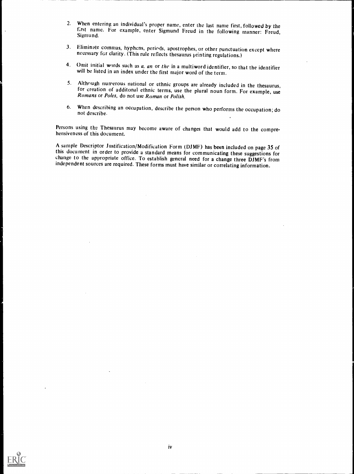- 2. When entering an individual's proper name, enter the last name first, followed by the first name. For example, enter Sigmund Freud in the following manner: Freud, Sigmund.
- 3. Eliminate commas, hyphens, periods, apostrophes, or other punctuation except where necessary for clarity. (This rule reflects thesaurus printing regulations.)
- 4. Omit initial words such as  $a$ , an or the in a multiword identifier, so that the identifier will be listed in an index under the first major word of the term.
- 5. Although numerous national or ethnic groups are already included in the thesaurus, for creation of additonal ethnic terms, use the plural noun form. For example, use Romans or Poles, do not use Roman or Polish.
- 6. When describing an occupation, describe the person who performs the occupation; do not describe.

Persons using the Thesaurus may become aware of changes that would add to the compre- hensiveness of this document.

A sample Descriptor Justification/Modification Form (DJMF) has been included on page 35 of this document in order to provide a standard means for communicating these suggestions for change to the appropriate office. To est independent sources are required. These forms must have similar or correlating information.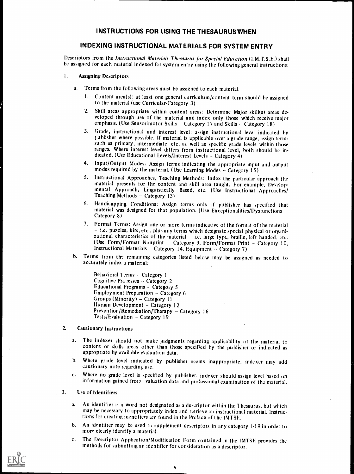## INDEXING INSTRUCTIONAL MATERIALS FOR SYSTEM ENTRY

Descriptors from the Instructional Materials Thesaurus for Special Education (1.M.T.S.E.) shail he assigned for each material indexed for system entry using the following general instructions:

#### 1. Assigning Descriptors

- a. Terms from the following areas must be assigned to each material.
	- I. Content area(s): at least one general curriculum/content term should be assigned to the material (use Curricular-Category 3)
	- 2. Skill areas appropriate within content areas: Determine Major skill(s) areas developed through use of the material and index only those which receive major emphasis. (Use Sensorimotor Skills - Category 17 and Skills - Category 18)
	- 3. Grade, instructional and interest level: assign instructional level indicated by ublisher where possible. If material is applicable over a grade range, assign terms such as primary, intermediate, etc. as well as specific grade levels within those ranges. Where interest level differs from instructional level, both should he indicated. (Use Educational Levels/Interest Levels - Category 4)
	- 4. Input/Output Modes: Assign terms indicating the appropriate input and output modes required by the material. (Use Learning Modes  $\sim$  Category 15)
	- 5. Instructional Approaches, Teaching Methods: Index the particular approach the material presents for the content and skill area taught. For example, Developmental Approach, Linguistically Based, etc. (Use Instructional Approaches/ Teaching Methods – Category 13)
	- 6. Handicapping Conditions: Assign terms only if publisher has specified that material was designed for that population. (Use Exceptionalities/Dysfunctions Category 8)
	- 7. Format Terms: Assign one or more terms indicative of the format of the material i.e. puzzles, kits, etc., plus any terms which designate special physical or organizational characteristics of the material i.e. large type, braille, left handed, etc.<br>(Use Form/Format Nonprint - Category 9, Form/Format Print - Category 10, Instructional Materials - Category 14, Equipment - Category 7)
- b. Terms from the remaining categories listed below may be assigned as needed to accurately index a material:

Behavioral 7 erms - Category 1 Cognitive Pro lesses - Category 2 Educational Programs - Category 5 Employment Preparation  $-$  Category 6 Groups (Minority)  $-$  Category 11 Human Development  $-$  Category 12 Prevention/Remediation/Therapy  $-$  Category 16 Tests/Evaluation  $-$  Category 19

## 2. Cautionary Instructions

- a. The indexer should not make judgments regarding applicability of the material to content or skills areas other than those specified by the publisher or indicated as appropriate by available evaluation data.
- b. Where grade level indicated by publisher seems inappropriate, indexer may add cautionary note regarding, use.
- c. Where no grade level is specified by publisher, indexer should assign level based on information gained from valuation data and professional examination of the material.

#### 3. Use of Identifiers

- a. An identifier is a word not designated as a descriptor within the Thesaurus, but which may be necessary to appropriately index and retrieve an instructional material. Instructions for creating identifiers are found in the Preface of the IMTSE.
- b. An identifier may be used to supplement descriptors in any category 1-19 in order to more clearly identify a material.
- c. The Descriptor Application/Modification Form contained in the IMTSE provides the methods for submitting an identifier for consideration as a descriptor.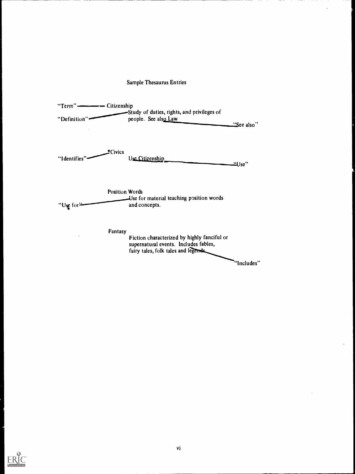|                                    | <b>Sample Thesaurus Entries</b>                                                                                              |               |
|------------------------------------|------------------------------------------------------------------------------------------------------------------------------|---------------|
| "Definition'                       | -Study of duties, rights, and privileges of<br>people. See also Law                                                          | "See also"    |
| #Civics<br>"I dentifies'           | Use Citizenship                                                                                                              | <u>"Use</u> " |
| <b>Position Words</b><br>"Use for- | Use for material teaching position words<br>and concepts.                                                                    |               |
| Fantasy                            | Fiction characterized by highly fanciful or<br>supernatural events. Includes fables,<br>fairy tales, folk tales and legends. |               |
|                                    |                                                                                                                              | "Includes"    |

 $\ddot{\phantom{0}}$ 

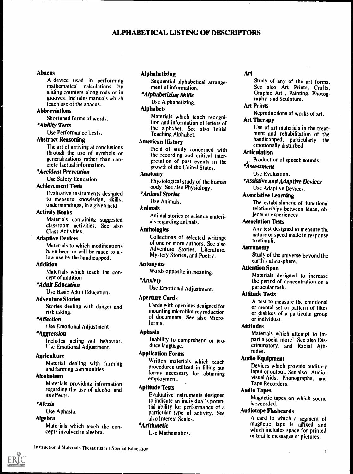## ALPHABETICAL LISTING OF DESCRIPTORS

## Abacus

A device used in performing mathematical calculations by sliding counters along rods or in grooves. Includes manuals which teach use of the abacus.

## Abbreviations

Shortened forms of words.

## \*Ability Tests

Use Performance Tests.

#### Abstract Reasoning

The art of arriving at conclusions through the use of symbols or generalizations rather than concrete factual information.

## \*Accident Prevention

Use Safety Education.

#### Achievement Tests

Evaluative instruments designed to measure knowledge, skills, understandings, in a given field.

#### Activity Books

Materials containing suggested classroom activities. See also Class Activities.

#### Adaptive Devices

Materials to which modifications have been or will be made to allow use by the handicapped.

#### Addition

Materials which teach the concept of addition.

## \*Adult Education

Use Basic Adult Education.

#### Adventure Stories

Stories dealing with danger and risk taking.

## \*Affection

Use Emotional Adjustment.

#### \*Aggression

Includes acting out behavior. *U*se Emotional Adjustment.

#### **Agriculture**

Material dealing with farming and farming communities.

#### Alcoholism

Materials providing information regarding the use of alcohol and its effects.

#### \*Alexia

Use Aphasia.

## Algebra

Materials which teach the concepts involved in algebra.

#### Alphabetizing

Sequential alphabetical arrange- ment of information.

## \*Alphabetizing Skills

Use Alphabetizing.

## Alphabets

Materials which teach recognition and information of letters of the alphabet. See also Initial Teaching Alphabet.

## American History

Field of study concerned with the recording and critical interpretation of past events in the growth of the United States.

#### Anatomy

Phy<sub>3</sub>iological study of the human body. See also Physiology.

#### \*Animal Stories

Use Animals.

#### Animals

Animal stories or science materials regarding animals.

#### Anthologies

Collections of selected writings of one or more authors. See also Adventure Stories, Literature, Mystery Stories, and Poetry.

#### Antonyms

Words opposite in meaning.

#### \*Anxiety

Use Emotional Adjustment.

#### Aperture Cards

Cards with openings designed for mounting microfilm reproduction of documents. See also Microforms.

#### Aphasia

Inability to comprehend or produce language.

## Application Forms

Written materials which teach procedures utilized in filling out forms necessary for obtaining employment.

#### Aptitude Tests

Evaluative instruments designed to indicate an individual's potential ability for performance of a particular type of activity. See also Interest Scales.

## \*Arithmetic

Use Mathematics.

Study of any of the art forms. See also Art Prints, Crafts, Graphic Art. , Painting. Photography, and Sculpture.

## Art Prints

Reproductions of works of art.

## Art Therapy

Use of art materials in the treatment and rehabilitation of the handicapped, particularly the emotionally disturbed.

## Articulation

Production of speech sounds. \*Assessment

Use Evaluation.

\*Assistive and Adaptive Devices Use Adaptive Devices.

## Associative Learning

The establishment of functional relationships between ideas, objects or experiences.

#### Association Tests

Any test designed to measure the nature or speed made in response to stimuli.

#### Astronomy

Study of the universe beyond the earth's atmosphere.

#### Attention Span

Materials designed to increase the period of concentration on a particular task.

#### Attitude Tests

A test to measure the emotional or mental set or pattern of likes or dislikes of a particular group or individual.

## Attitudes

Materials which attempt to impart a social more'. See also Discriminatory, and Racial Attitudes.

#### Audio Equipment

Devices which provide auditory input or output. See also Audiovisual Aids, Phonographs, and Tape Recorders.

#### Audio Tapes

Magnetic tapes on which sound is recorded.

#### Audiotape Flashcards

A card to which a segment of magnetic tape is affixed and which includes space for printed or braille messages or pictures.

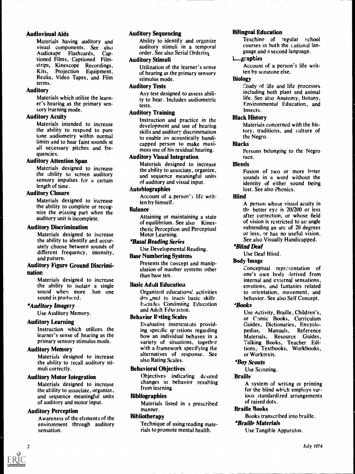## Audiovisual Aids

Materials having auditory and visual components. See also Audiotape Flashcards, Captioned Films, Captioned Filmstrips, Kinescope Recordings, Kits, Projection Equipment, Realia, Video Tapes, and Film terms.

## Auditory

Materials which utilize the learner's hearing as the primary sensory learning mode.

## Auditory Acuity

Materials intended to increase the ability to respond to pure tone audiometry within normal limits and to hear faint sounds at all necessary pitches and frequencies.

## Auditory Attention Span

Materials designed to increase the ability to screen auditory sensory impulses for a certain length of time.

## Auditory Closure

Materials designed to increase the ability to complete or recognize the missing part when the auditory unit is incomplete.

## Auditory Discrimination

Materials designed to increase the ability to identify and accurately choose between sounds of different frequency, intensity, and pattern.

## Auditory Figure Ground Discrimination

Materials designed to increase the ability to isolate a single sound when more .han one sound is produced.

## \*Auditory Imagery

Use Auditory Memory.

## Auditory Learning

Instruction which utilizes the learner's sense of hearing as the primary sensory stimulus mode.

## Auditory Memory

Materials designed to increase the ability to recall auditory stimuli correctly.

## Auditory Motor Integration

Materials designed to increase the ability to associate, organize, and sequence meaningful units of auditory and motor input.

## Auditory Perception

Awareness of the elements of the environment through auditory sensation.

## **Auditory Sequencing**

Ability to identify and organize auditory stimuli in a temporal order. See also Serial Ordering

## Auditory Stimuli

Utilization of the learner's sense of hearing as the primary sensory stimulus mode.

## Auditory Tests

Any test designed to assess ability to hear. Includes audiometric tests.

## Auditory Training

Instruction and practice in the development and use of hearing skills and auditory discrimination to enable an acoustically handicapped person to make maximum use of his residual hearing.

## Auditory Visual Integration

Materials designed to increase the ability to associate, organize, and sequence meaningful units of auditory and visual input.

## Autobiographies

Account of a person's life written by himself.

## Balance

Attaining or maintaining a state of equilibrium. See also Kinesthetic Perception and Perceptual Motor Learning.

## \*Basal Reading Series

Use Developmental Reading.

## Base Numbering Systems

Presents the concept and manipulation of number systems other than base ten.

## Basic Adult Education

Organized educational activities des<sup>1</sup><sub>b</sub>ned to teacii basic skills. li.cludes Continuing Education and Adult Education.

## **Behavior Rating Scales**

Evaluative instruments providing specific questions regarding equals, how an individual behaves in a **Materials**. variety of situations, together with a framework specifying the alternatives of response. See also Rating Scales.

## Behavioral Objectives

Objectives indicating desired changes in behavior resulting from learning.

## Bibliographies

Materials listed in a prescribed manner.

## Bibliotherapy

Technique of using reading materials to promote mental health.

## Bilingual Education

Teaching of regular school courses in both the national language and a second language.

## L..gaphies

Account of a person's life written by someone else.

## Biology

Study of life and life processes including both plant and animal life. See also Anatomy, Botany, Environmental Education, and Insects.

## Black History

Materials concerned with the history, traditions, and culture of the Negro.

## Blacks

Persons belonging to the Negro race.

## Blends

Fusion of two or more letter sounds in a word without the identity of either sound being lost. See also Phonics.

## Blind

A person whose visual acuity in the better eye is 20/200 or less after correction, or whose field of vision is restricted to an angle subtending an arc of 20 degrees or less, or has no useful vision. See also Visually Handicapped.

## \*Blind Deaf

Use Deaf Blind.

## Body Image

Conceptual representation of one's own body :lerived from internal and external sensations, emotions, and fantasies related to orientation, movement, and behavior. See also Self Concept.

## \*Books

Use Activity, Braille, Children's, or Comic Books, Curriculum Guides, Dictionaries, Encyclo-Manuals, Reference Resource Guides, Talking Books, Teacher Editions, Textbooks, Workbooks, or Worktexts.

## \*Boy Scouts

Use Scouting.

## **Braille**

A system of writing or printing for the blind which employs various standardized arrangements of raised dots.

## Braille Books

Books transcribed into braille.

# \*Braille Materials

Use Tangible Apparatus.

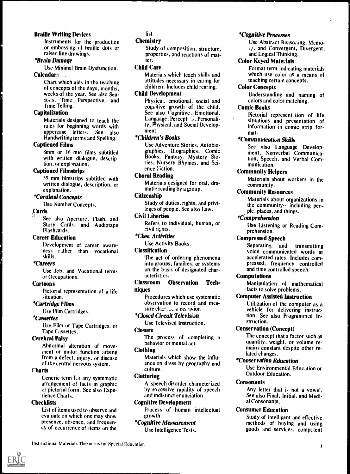## Braille Writing Devices

Instruments for the production or embossing of braille dots or raised line drawings.

## \*Brain Damage

Use Minimal Brain Dysfunction. Calendars .

> Chart which aids in the teaching of concepts of the days, months. weeks of the year. See also Seasons. Time Perspective, and Time Telling.

## **Capitalization**

Materials designed to teach the rules for beginning words with uppercase letters. See also Handwriting terms and Spelling.

## Captioned Films

8mm or 16 mm films subtitled with written dialogue, description, or explonation.

## Captioned Filmstrips

35 mm filmstrips subtitled with written dialogue, description, or explanation.

## \*Cardinal Concepts

Use Number Concepts.

#### Cards

See also Aperture, Flash, and Story Cards, and Audiotape Flashcards.

#### Career Education

Development of career awareness rather than vocational skills.

#### \*Careers

Use Job, and Vocational terms or Occupations.

#### Cartoons

Pictorial representation of a life situation.

## \*Cartridge Films

Use Film Cartridges.

## \*Cassettes

Use Film or Tape Cartridges, or Tape Cassettes.

## Cerebral Palsy

Abnormal alteration of movement or motor function arising from a defect, injury, or disease of the central nervous system.

#### **Charts**

Generic term for any systematic arrangement of facts in graphic or pictorial form. See also Experience Charts.

## **Checklists**

List of items used to observe and evaluate on which one may show presence, absence, and frequency of occurrence of items on the

list.

#### **Chemistry**

Study of composition, structure, properties, and reactions of matter.

## Child Care

Materials which teach skills and attitudes necessary in caring for children. Includes child rearing.

## Child Development

Physical, emotional, social and cognitive growth of the child. See also Cognitive. Emotional, Language, Percept, ..;, Personality, Physical, and Social Development.

## \*Children's Books

Use Adventure Stories, Autobiographies, Biographies, Comic Books, Fantasy, Mystery Stories, Nursery Rhymes, and Science *Viction*.

#### Choral Reading

Materials designed for oral, dramatic reading by a group.

## Citizenship

Study of duties, rights, and privileges of people. See also Law.

## Civil Liberties

Refers to individual, human, or civil rights.

## \*Claw; Activities

Use Activity Books.

## **Classification**

The act of ordering phenomena into groups, families, or systems on the basis of designated characteristics.

#### Classroom Observation Techniques

Procedures which use systematic observation to record and measure class to a net avior.

## \*Closed Circuit Television

Use Televised Instruction.

## Closure

The process of completing a behavior or mental act.

## Clothing

Materials which show the influence on dress by geography and culture.

## **Cluttering**

A speech disorder characterized by excessive rapidity of speech and indistinct enunciation.

#### Cognitive Development

F'rocess of human intellectual growth.

## \*Cognitive Measurement

Use Intelligence Tests.

## \*Cognitive Processes

Use Abstract Reaso:ang, Memo- ,y, and Convergent, Divergent, and Logical Thinking.

 $\mathbf{A}$ 

## Color Keyed Materials

Format term indicating materials which use color as a means of teaching certain concepts.

## Color Concepts

Understanding and naming of colors and color matching.

## Comic Books

Pictorial represent tion of life situations and presentation of information in comic strip format.

#### \*Commuuication Skills

See also Language Development, Nonverbal Communication, Speech, and Verbal Communication.

## Community Helpers

Materials about workers in the community.

## Community Resources

Materials about organizations in the community-- including people, places, and things.

## \*Comprehension

Use Listening or Reading Comprehension.

## Compressed Speech

Separating and transmitting voice communicated words at accelerated rates. Includes compressed, frequency controlled and time controlled speech.

## Computations

Manipulation of mathematical facts to solve problems.

## Computer Assisted Instruction

Utilization of the computer as a vehicle for delivering instruction. See also Programmed Instruction.

## Conservation (Concept)

The concept that a factor such as quantity, weight, or volume remains constant despite other related changes.

## \*Conservation Education

Use Environmental Education or Outdoor Education.

## **Consonants**

Any letter that is not a vowel. See also Final, Initial, and Medial Consonants.

## Consumer Education

Study of intelligent and effective methods of buying and using goods and services, competent

Instructional Materials Thesaurus for Special Education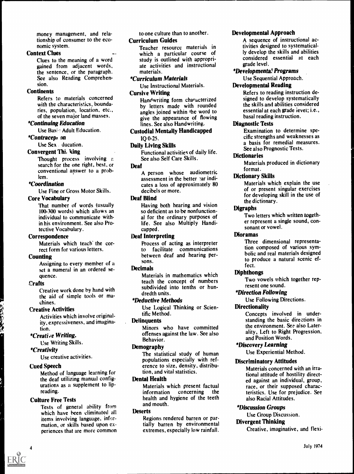money management, and relationship of consumer to the economic system.

## Context Clues

Clues to the meaning of a word gained from adjacent words, the sentence, or the paragraph. See also Reading Comprehension.

## **Continents**

Refers to materials concerned with the characteristics, boundaries, population, location, etc., of the seven major land masses.

## \*Continuing Education

Use Basic Adult Education.

### \*Contracep, on

Use Sex ducation.

## Convergent Thi, king

Thought process involving a search for the one right, best, or conventional answer to a problem.

#### \*Coordination

Use Fine or Gross Motor Skills.

## Core Vocabulary

That number of words (usually 100-300 words) which allows an individual to communicate within his environment. See also Protective Vocabulary.

#### **Correspondence**

Materials which teach' the correct form for various letters.

#### Counting

Assigning to every member of a set a numeral in an ordered sequence.

#### **Crafts**

Creative work done by hand with the aid of simple tools or machines.

## Creative Activities

Activities which involve originality, expressiveness, and imagination.

## \*Creati e Writing.

Use Writing Skills.

#### \*Creativity

Use creative activities.

#### Cued Speech

4

Method of language learning for the deaf utilizing manual configurations as a supplement to lipreading.

## Culture Free Tests

Tests of general ability from which have been eliminated all items involving language, information, or skills based upon experiences that are more common

to one culture than to another. Curriculum Guides

> Teacher resource materials in which a particular course of study is outlined with appropriate activities and instructional materials.

## \*Curriculum Materials

Use Instructional Materials. Cursive Writing

> Handwriting form characterized by letters made with rounded angles joined within the word to give the appearance of flowing lines. See also Handwriting.

## Custodial Mentally Handicapped IQ 0-25.

## Daily Living Skills

Functional activities of daily life. See also Self Care Skills.

## Deaf

A person whose audiometric assessment in the better  $:$ ar indicates a loss of approximately 80 decibels or more.

## Deaf Blind

Having both hearing and vision so deficient as to be nonfunctional for the ordinary purposes of life. See also Multiply Handicapped.

#### Deaf Interpreting

Process of acting as interpreter to facilitate communications between deaf and hearing persons.

#### **Decimals**

Materials in mathematics which teach the concept of numbers subdivided into tenths or hundredth units.

#### \*Deductive Methods

Use Logical Thinking or Scientific Method.

#### **Delinquents**

Minors who have committed offenses against the law. See also Behavior.

#### Demography

The statistical study of human populations especially with reference to size, density, distribution, and vital statistics.

## Dental Health

Materials which present factual information concerning the health and hygiene of the teeth and mouth.

#### Deserts

Regions rendered barren or partially barren by environmental extremes, especially low rainfall.

#### Developmental Approach

A sequence of instructional activities designed to systematically develop the skills and abilities considered essential at each grade level.

#### \*Development& Programs

Use Sequential Approach.

#### Developmental Reading

Refers to reading instruction designed to develop systematically the skills and abilities considered essential at each grade level; i.e., basal reading instruction.

#### Diagnostic Tests

Examination to determine specific strengths and weaknesses as a basis for remedial measures. See also Prognostic Tests.

#### **Dictionaries**

Materials produced in dictionary format.

#### Dictionary Skills

Materials which explain the use of or present singular exercises for developing skill in the use of the dictionary.

#### Digraphs

Two letters which written together represent a single sound, consonant or vowel.

#### Dioramas

Three dimensional representation composed of various symbolic and real materials designed to produce a natural scenic effect.

## **Diphthongs**

Two vowels which together represent one sound.

## \*Direction Following

Use Following Directions.

#### **Directionality**

Concepts involved in understanding the basic directions in the environment. See also Laterality, Left to Right Progression, and Position Words.

#### \*Discovery Learning

Use Experiential Method.

## Discriminatory Attitudes

Materials concerned with an irrational attitude of hostility directed against an individual, group, race, or their supposed characteristics. Use for prejudice. See also Racial Attitudes.

#### \*Discussion Groups

Use Group Discussion.

#### Divergent Thinking

Creative, imaginative, and flexi-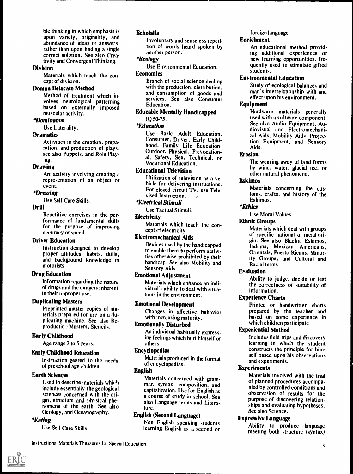ble thinking in which emphasis is upon variety, originality, and abundance of ideas or answers, rather than upon finding a single correct solution. See also Creativity and Convergent Thinking.

#### Division

Materials which teach the concept of division.

#### Doman Delacato Method

Method of treatment which involves neurological patterning based on externally imposed muscular activity.

## \*Dominance

Use Laterality.

#### **Dramatics**

Activities in the creation, preparation, and production of plays. see also Puppets, and Role Playing.

#### Drawing

Art activity involving creating a representation of an object or event.

#### \*Dressing

Use Self Care Skills.

## Drill

Repetitive exercises in the performance of fundamental skills for the purpose of improving accuracy or speed.

#### Driver Education

Instruction designed to develop proper attitudes, habits, skills, and background knowledge in motorists.

#### Drug Education

Information regarding the nature of drugs and the dangers inherent in their noproper use.

#### Duplicating Masters

Preprinted master copies of materials prepared for use on a duplicating machine. See also Reproductic 7 Masters, Stencils.

## Early Childhood

Age range 2 to 5 years.

#### Early Childhood Education

Instruction geared to the needs of preschool age children.

#### Earth Sciences

Used to describe materials which include essentially the geological sciences concerned with the origin, structure and physical phenomena of the earth. See also Geology, and Oceanography.

## \*Eating

Use Self Care Skills.

## Echolalia

Involuntary and senseless repetition of words heard spoken by another person.

## \*Ecology

Use Environmental Education.

## Economics

Branch of social science dealing with the production, distribution. and consumption of goods and services. See also Consumer Education.

#### Educable Mentally Handicapped IQ 50-75.

## \*Education

Use Basic Adult Education, Consumer, Driver, Early Childhood, Family Life Education. Outdoor, Physical, Prevocational, Safety, Sex, Technical, or Vocational Education.

## Educational Television

Utilization of television as a vehicle for delivering instructions. For closed circuit TV, use Televised Instruction.

#### \*Electrical Stimuli

Use Tactual Stimuli.

## Electricity

Materials which teach the concept of electricity.

#### Electromechanical Aids

Devices used by the handicapped to enable them to perform activities otherwise prohibited by their handicap. See also Mobility and Sensory Aids.

#### Emotional Adjustment

Materials which enhance an individual's ability to deal with situations in the environment.

#### Emotional Development

Changes in affective behavior with increasing maturity.

## Emotionally Disturbed

An individual habitually expressing feelings which hurt himself or others.

#### Encyclopedias

Materials produced in the format of encyclopedias.

## English

Materials concerned with grammar, syntax, composition, and capitalization. Use for English as a course of study in school. See also Language terms and Literature.

## English (Second Language)

Non English speaking students learning English as a second or

## foreign language.

#### Enrichment

An educational method providing additional experiences or new learning opportunities. frequently used to stimulate gifted students.

#### Environmental Education

Study of ecological balances and man's interrelationship with and effect upon his environment.

#### Equipment

Hardware materials generally used with a software component. See also Audio Equipment, Audiovisual and Electromechanical Aids, Mobility Aids, Projection Equipment, and Sensory Aids.

### Erosion

The wearing away of land forms by wind, water, glacial ice, or other natural phenomena.

#### Eskimos

Materials concerning the customs, crafts, and history of the Eskimos.

#### \*Ethics

Use Moral Values.

#### Ethnic Groups

Materials which deal with groups of specific national or racial origin. See also Blacks, Eskimos, Indians, Mexican Americans, Orientals, Puerto Ricans, Minority Groups, and Cultural and Racial terms.

## Evaluation

Ability to judge, decide or test the correctness or suitability of information.

## Experience Charts

Printed or handwritten charts prepared by the teacher and based on some experience in which children participate.

## Experiential Method

Includes field trips and discovery learning in which the student constructs the principle for himself based upon his observations and experiments.

## **Experiments**

Materials involved with the trial of planned procedures accompanied by controlled conditions and observation of results for the purpose of discovering relationships and evaluating hypotheses. See also Science.

#### Expressive Language

Ability to produce language meeting both structure (syntax)

Instructional Materials Thesaurus for Special Education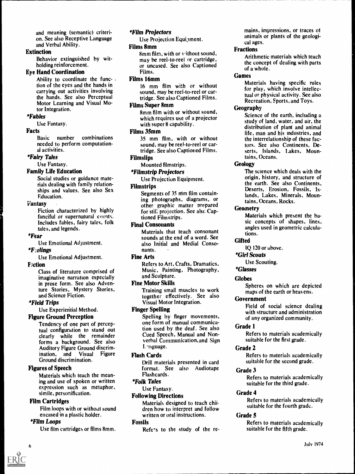and meaning (semantic) criterion. See also Receptive Language and Verbal Ability.

#### Extinction

Behavior extinguished by witholding reinforcement.

## Eye Hand Coordination

Ability to coordinate the func- $\sqrt{ }$ tion of the eyes and the hands in carrying out activities involving the hands. See also Perceptual Motor Learning and Visual Motor Integration.

#### \*Fables

Use Fantasy.

#### Facts

Basic number combinations needed to perform computational activities.

#### \*Fairy Tales

Use Fantasy.

#### Family Life Education

Social studies or guidance materials dealing with family relationships and values. See also Sex Education.

#### **Fantasy**

Fiction characterized by highly fanciful or supernatural events. Includes fables, fairy tales, folk tales, and legends.

#### \*Fear

Use Emotional Adjustment.

#### \*Felings

Use Emotional Adjustment.

#### **F**:ction

Class of literature comprised of imaginative narration especially in prose form. See also Adventure Stories, Mystery Stories, and Science Fiction.

#### \*Field Trips

Use Experiential Method.

## Figure Ground Perception

Tendency of one part of perceptual configuration to stand out clearly while the remainder forms a background. See also Auditory Figure Ground discrimination, and Visual Figure Ground discrimination.

#### Figures of Speech

Materials which teach the meaning and use of spoken or written expression such as metaphor, simile, personification.

## Film Cartridges

Film loops with or without sound encased in a plastic holder.

## \*Film Loops

Use film cartridges or films 8mm.

## \*Film Projectors

Use Projection Equipment.

#### Films 8mm

8mm film, with or without sound, may be reel-to-reel or cartridge, or uncased. See also Captioned Films.

## Films 16mm

16 mm film with or without sound, may be reel-to-reel or cartridge. See also Captioned Films.

#### Films Super 8mm

8mm film with or without sound, which requires use of a projector with super 8 capability.

#### Films 35mm

35 mm film, with or without sound, may be reel-to-reel or cartridge. See also Captioned Films.

## **Filmslips**

Mounted filmstrips.

\*Filmstrip Projectors

Use Projection Equipment.

## Filmstrips

Segments of 35 mm film containing photographs, diagrams, or other graphic matter prepared for still projection. See also Captioned Filmstrips.

#### Final Consonants

Materials that teach consonant sounds at the end of a word. See also Initial and Medial Consonants.

## Fine Arts

Refers to Art, Crafts, Dramatics, Music, Painting, Photography, and Sculpture.

#### Fine Motor Skills

Training small muscles to work together effectively. See also Visual Motor Integration.

## Finger Spelling

Spelling by finger movements, one form of manual communication used by the deaf . See also Cued Speech, Manual and Nonverbal Communication, and Sign Language.

## Flash Cards

Drill materials presented in card format. See also Audiotape Flashcards.

#### \*Folk Tales

Use Fantasy.

## Following Directions

Materials designed to teach children how to interpret and follow written or oral instructions.

#### Fossils

Refers to the study of the re-

mains, impressions, or traces of animals or plants of the geological ages.

#### Fractions

Arithmetic materials which teach the concept of dealing with parts of a whole.

#### Games

Materials having specific rules for play, which involve intellectual or physical activity. See also Recreation, Sports, and Toys.

## Geography

Science of the earth, including a study of land, water, and air, the distribution of plant and animal life, man and his industries, and the interrelationship of these factors. See also Continents, Deserts, Islands, Lakes, Mountains, Oceans.

#### **Geology**

The science which deals with the origin, history, and structure of the earth. See also Continents, Deserts, Erosion, Fossils, Islands, Lakes, Minerals, Mountains, Oceans, Rocks.

#### **Geometry**

Materials which present the basic concepts of shapes, lines, angles used in geometric calculations.

#### **Gifted**

IQ 120 or above.

\*Girl Scouts

Use Scouting.

## \*Glasses

## Globes

Spheres on which are depicted maps of the earth or heavens.

#### Government

Field of social science dealing with structure and administration of any organized community.

#### Grade 1

Refers to materials academically suitable for the first grade.

#### Grade 2

Refers to materials academically suitable for the second grade.

#### Grade 3

Refers to materials academically suitable for the third grade.

## Grade 4

Refers to materials academically suitable for the fourth grade.

#### Grade 5

Refers to materials academically suitable for the fifth grade.



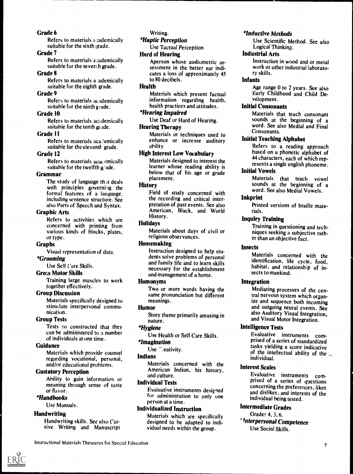## Grade 6

Refers to materials to ademically suitable for the sixth grade.

#### Grade 7

Refers to materials academically suitable for the seventh grade.

## Grade 8

Refers to materials a ademically suitable for the eighth grade.

## Grade 9

Refers to materials academically suitable for the ninth glade.

## Grade 10

Refers to materials academically suitable for the tenth grade.

## Grade 11

Refers to materials academically suitable for the eleventh grade.

## Grade 12

Refers to materials acac emically suitable for the twelfth g-ade.

## Grammar

The study of language that deals with principles governing the formal features of a language. including sentence structure. See also Parts of Speech and Syntax.

## Graphic Arts

Refers to activities which are concerned with printing from various kinds of blocks, plates, or type.

## Graphs

Visual representation of data.

## \*Grooming

Use Self Care Skills.

## Gross Motor Skills

Training large muscles to work together effectively.

## Group Discussion

Materials specifically designed to stimulate interpersonal communication.

## Group Tests

Tests so constructed that they can be administered to a number of individuals at one time.

## Guidance

Materials which provide counsel regarding vocational, personal, and/or educational problems.

## Gustatory Perception

Ability to gain information or meaning through sense of taste or flavor.

## \*Handbooks

Use Manuals.

## **Handwriting**

Handwriting skills. See also Cursive Writing and Manuscript Writing.

*\*Haptic Perception* 

Use Tactual Perception.

## Hard of Hearing

Aperson whose audiometric assessment in the better ear indicates a loss of approximately 45 to 80 decibels.

## Health

Materials which present factual information regarding health, health practices and attitudes.

## \*Hearing Impaired

Use Deaf or Hard of Hearing.

## Hearing Therapy

Materials or techniques used to enhance or increase auditory ability

## High Interest Low Vocabulary

Materials designed to interest the learner whose reading ability is below that of his age or grade placement.

## **History**

Field of study concerned with the recording and critical interpretation of past events. See also American, Black, and World History.

## **Holidays**

Materials about days of civil or religious observances.

## Homemaking

Instruction designed to help students solve problems of personal and family life and to learn skills necessary for the establishment and management of a home.

## Homonyms

Two or more words having the same pronunciation but different meanings.

## Humor

Story theme primarily amusing in nature.

## \*Hygiene

Use Health or Self Care Skills.

## \*Imagination

Use <sup>-</sup>.eativity.

## Indians

Materials concerned with the American Indian, his history, and culture.

## Individual Tests

Evaluative instruments designed for administration to only one person at a time.

## Individualized Instruction

Materials which are specifically designed to be adapted to individual needs within the group.

## \*Inductive Methods

Use Scientific Method. See also Logical Thinking.

## Industrial Arts

Instruction in wood and or metal work or other industrial laboratory skills.

## Infants

Age range 0 to 2 years. See also Early Childhood and Child Development.

## Initial Consonants

Materials that teach consonant sounds at the beginning of <sup>a</sup> word. See also Medial and Final Consonants.

## Initial Teaching Alphabet

Refers to a reading approach based on a phonetic alphabet of 44 characters, each of which represents a single english phoneme.

## Initial Vowels

Materials that teach vowel sounds at the beginning of a word. See also Medial Vowels.

## Inkprint

Printed versions of braille materials.

## Inquiry Training

Training in questioning and techniques seeking a subjective rather than an objective fact.

## **Insects**

Materials concerned with the identification, life cycle, food, habitat, and relationship of insects to mankind.

## Integration

Mediating processes of the central nervous system which organize and sequence both incoming and outgoing neural events. See also Auditory Visual Integration, and Visual Motor Integration.

## Intelligence Tests

Evaluative instruments comprised of a series of standardized tasks yielding a score indicative of the intellectual ability of the  $\lambda$ . individual.

## Interest Scales

Evaluative instruments comprised of a series of questions concerning the preferences, likes and dislikes, and interests of the individual being tested.

## Intermediate Grades

Grades 4, 3, 6. Interpersonal Competence Use Social Skills.

Instructional Materials Thesaurus for Special Education **7** and 2001 **7** and 2008 **7** and 2008 **7** and 2008 **7** and 2008 **7** and 2008 **7** and 2008 **7** and 2008 **7** and 2008 **7** and 2008 **7** and 2008 **7** and 2008 **7** and 20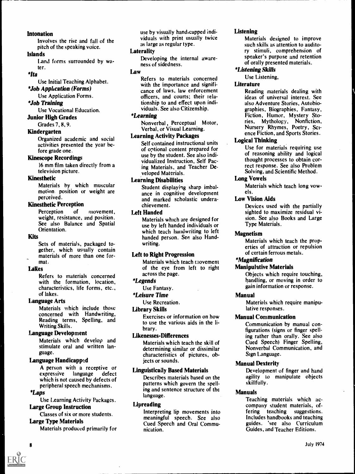## **Intonation**

Involves the rise and fall of the pitch of the speaking voice.

#### Islands

Land forms surrounded by water.

## $*$ *Ita*

Use Initial Teaching Alphabet. \*Job Application (Forms)

## Use Application Forms.

\*Job Training

Use Vocational Education.

Junior High Grades

Grades 7, 8, 9.

## Kindergarten

Organized academic and social activities presented the year before grade one.

#### Kinescope Recordings

16 mm film taken directly from a television picture.

## Kinesthetic

Materials by which muscular motion position or weight are perceived.

## Kinesthetic Perception

Perception of movement, weight, resistance, and position. See also Balance and Spatial Orientation.

#### Kits

Sets of materials, packaged together, which usually contain materials of more than one format.

## Lakes

Refers to materials concerned with the formation, location, characteristics, life forms, etc., of lakes.

## Language Arts

Materials which include those concerned with Handwriting, Reading terms, Spelling, and Writing Skills.

## Language Development

Materials which develop and stimulate oral and written language.

## Language Handicapped

A person with a receptive or<br>expressive language defect language which is not caused by defects of peripheral speech mechanisms.

#### \*Laps

Use Learning Activity Packages. Large Group Instruction

## Classes of six or more students.

Large Type Materials

Materials produced primarily for

use by visually handicapped individuals with print usually twice as large as regular type.

## **Laterality**

Developing the internal awareness of sidedness.

## Law

Refers to materials concerned with the importance and significance of laws, law enforcement officers, and courts; their relationship to and effect upon individuals. See also Citizenship.

#### \*Learning

Nonverbal , Perceptual Motor, Verbal, or Visual Learning.

## Learning Activity Packages

Self contained instructional units of optional content prepared for use by the student. See also individualized Instruction, Self Pacing Materials, and Teacher Developed Materials.

## Learning Disabilities

Student displaying sharp imbalance in cognitive development and marked scholastic underachievement.

#### Left Handed

Materials which are designed for use by left handed individuals or which teach handwriting to left handed person. See also Handwriting.

## Left to Right Progression

Materials which teach movement of the eye from left to right across the page.

## \*Legends

Use Fantasy.

\*Leisure Time

Use Recreation.

## Library Skills

Exercises or information on how to use the various aids in the library.

## Likenesses-Differences

Materials which teach the skill of determining similar or dissimilar characteristics of pictures, objects or sounds.

## Linguistically Based Materials

Describes materials based on the patterns which govern the spelling and sentence structure of the language.

## Lipreading

Interpreting lip movements into meaningful speech. See also Cued Speech and Oral Communication.

## Listening

Materials designed to improve such skills as attention to auditory stimuli, comprehension of speaker's purpose and retention of orally presented materials.

## \*Listening Skills

#### Use Listening,

## **Literature**

Reading materials dealing with ideas of universal interest. See also Adventure Stories, Autobiographies, Biographies, Fantasy, Fiction, Humor, Mystery Stories, Mythology, Nonfiction, Nursery Rhymes, Poetry, Science Fiction, and Sports Stories.

## Logical Thinking

Use for materials requiring use of reasoning ability and logical thought processes to obtain correct response. See also Problem Solving, and Scientific Method.

## Long Vowels

Materials which teach long vowels.

## Low Vision Aids

Devices used with the partially sighted to maximize residual vision. See also Books and Large Type Materials.

## Magnetism

Materials which teach the properties of attraction or repulsion of certain ferrous metals.

## \*Magnification

## Manipulative Materials

Objects which require touching, handling, or moving in order to gain information or response.

## Manual

Materials which require manipulative responses.

## Manual Communication

Communication by manual configurations (signs or finger spelling rather than orally. See also Cued Speech) Finger Spelling, Nonverbal Communication, and Sign Language.

## Manual Dexterity

Development of finger and hand agility to manipulate objects skillfully.

## Manuals

Teaching materials which accompany student materials, offering teaching suggestions. Includes handbooks and teaching guides. 'see also Curriculum Guides, and Teacher Editions.

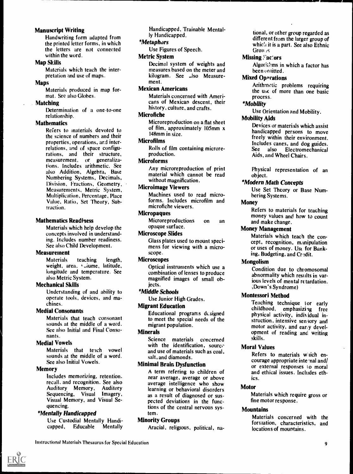## Manuscript Writing

Handwriting form adapted from the printed letter forms, in which the letters are not connected within the word.

## Map Skills

Materials which teach the interpretation and use of maps.

## Maps

Materials produced in map format. See also Globes.

## Matching

Determination of a one-to-one relationship.

## **Mathematics**

Refers to inaterials devoted to the science of numbers and their properties, operations, and interrelations, and of space configurations, and their structure, measurement, or generalizations. Includes arithmetic. See also Addition, Algebra, Base Numbering Systems, Decimals, Division, Fractions, Geometry, Measurements, Metric System, Multiplication, Percentage, Place Value, Ratio, Set Theory, Subtraction.

## Mathematics Readiness

Materials which help develop the concepts involved in understanding. Includes number readiness. See also Child Development.

## **Measurement**

Materials teaching length, weight, area, vuinme, latitude, longitude and temperature. See also Metric System.

#### Mechanical Skills

Understanding of and ability to operate tools, devices, and machines.

## Medial Consonants

Materials that teach consonant sounds at the middle of a word. See also Initial and Final Consonants.

## Medial Vowels

Materials that teach vowel sounds at the middle of a word. See also Initial Vowels.

#### Memory

Includes memorizing, retention, recall, and recognition. See also<br>Auditory Memory, Auditory Auditory Memory, Sequencing, Visual Imagery, Visual Memory, and Visual Sequencing.

## \*Mentally Handicapped

Use Custodial Mentally Handicapped, Educable Mentally

Handicapped, Trainable Mentally Handicapped.

## \*Metaphors

Use Figures of Speech.

## Metric System

Decimal system of weights and measures based on the meter and kilogram. See ..lso Measurement.

## Mexican Americans

Materials concerned with Americans of Mexican descent, their history, culture, and crafts.

#### **Microfiche**

Microre production on a flat sheet of film, approximately 105mm x I48mm in size.

#### Microfilms

Rolls of film containing microreproduction.

## Microforms

Any microreproduction of print material which cannot be read without magnification.

#### Microimage Viewers

Machines used to read microforms. Includes microfilm and microfiche viewers.

#### **Micropaques**

Microre productions on an opaque surface.

## Microscope Slides

Glass plates used to mount specimens for viewing with a microscope.

## **Microscopes**

Optical instruments which use a combination of lenses to produce magnified images of small obiects.

## \*Middle Schools

Use Junior High Grades.

## Migrant Education

Educational programs designed to meet the special needs of the migrant population.

#### Minerals

Science materials concerned with the identification, source and use of materials such as coal, salt, and diamonds.

## Minimal Brain Dysfunction

A term refering to children of near average, average or above average intelligence who show learning or behavioral disorders as a result of diagnosed or suspected deviations in the functions of the central nervous system.

## Minority Groups

Aracial, religious, political, na-

tional, or other group regarded as different from the larger group of which it is a part. See also Ethnic Grou<sub>/S</sub>

## Missing ."ac'ors

Algorithms in which a factor has been omitted.

#### **Mixed Operations**

Arithmetic problems requiring the use of more than one basic process.

## \*Mobility

Use Orientation and Mobility.

## Mobility Aids

Devices or materials which assist handicapped persons to move freely within their environment. Includes canes, and dog guides.<br>See also Electromechanical Electromechanical Aids, and Wheel Chairs.

Physical representation of an object.

## \*Modern Math Concepts

Use Set Theory or Base Numbering Systems.

## **Money**

Refers to materials for teaching money values and how to count and make change.

## Money Management

Materials which teach the concept, recognition, manipulation or uses of money. Use for Banking, Budgeting, and Credit.

## Mongolism

Condition due to chromosomal abnormality which results in various levels of mental retardation. Down's Syndrome)

## Montessori Method

Teaching technique for early childhood, emphasizing free physical activity, individual instruction, intensive sensory and motor activity, and early development of reading and writing skills.

## Moral Values

Refers to materials which encourage appropriate inte nal and/ or external responses to moral and ethical issues. Includes ethics.

## **Motor**

Materials which require gross or fine motor response.

## **Mountains**

Materials concerned with the formation, characteristics, and locations of mountains.

Instructional Materials Thesaurus for Special Education <sup>9</sup>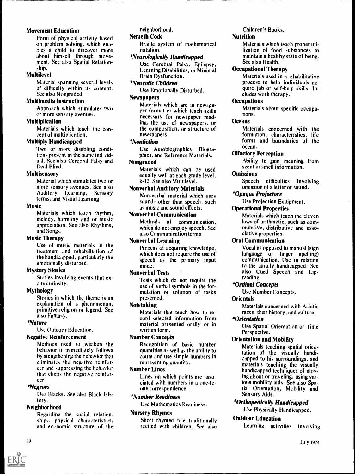## Movement Education

Form of physical activity based on problem solving, which enables a child to discover more about himself through movement. See also Spatial Relationship.

## Multilevel

Material spanning several levels of difficulty within its content. See also Nongraded.

## Multimedia Instruction

Approach which stimulates two or more sensory avenues.

## Multiplication

Materials which teach the concept of multiplication.

## Multiply Handicapped

Two or more disabling conditions present in the same ind vidual. See also Cerebral Palsy and Deaf Blind.

## Multisensory

Material which stimulates two or more sensory avenues. See also Auditory Learning, Sensory terms, and Visual Learning.

## Music

Materials which teach rhythm, melody, harmony and or music appreciation. See also Rhythms, and Songs.

## Music Therapy

Use of music materials in the treatment and rehabilitation of the handicapped, particularly the emotionally disturbed.

## Mystery Stories

Stories involving events that excite curiosity.

## Mythology

Stories in which the theme is an explanation of a phenomenon, primitive religion or legend. See also Fantasy.

## \*Nature

Use Outdoor Education.

## Negative Reinforcement

Methods used to weaken the behavior it immediately follows by stengthening the behavior that eliminates the negative reinforcer and suppressing the behavior that elicits the negative reinforcer.

## \*Negroes

Use Blacks. See also Black History.

## **Neighborhood**

Regarding the social relationships, physical characteristics, and economic structure of the

## neighborhood.

Nemeth Code

Braille system of mathematical notation.

## \*Neurologically Handicapped

Use Cerebral Palsy, Epilepsy, Learning Disabilities, or Minimal Brain Dysfunction.

## \*Neurotic Children

Use Emotionally Disturbed.

## Newspapers

Materials which are in newspaper format or which teach skills necessary for newspaper reading, the use of newspapers, or the composition, or structure of newspapers.

## \*Nonfiction

Use Autobiographies, Biographies, and Reference Materials.

## **Nongraded**

Materials which can be used equally well at each grade level, k-12. See also Multilevel.

## Nonverbal Auditory Materials

Non-verbal material which uses sounds other than speech, such as music and sound effects.

## Nonverbal Communication

Methods of communication, which do not employ speech. See also Communication terms.

## Nonverbal Learning

Process of acquiring knowledge, which does not require the use of speech as the primary input mode.

## Nonverbal Tests

Tests which do not require the use of verbal symbols in the formulation or solution of tasks presented.

## Notetaking

Materials that teach how to record selected information from material presented orally or in written form.

## Number Concepts

Recognition of basic number quantities as well as the ability to count and use simple numbers in representing quantity.

## Number Lines

Lines on which points are associated with numbers in a one-toone correspondence.

## \*Number Readiness

Use Mathematics Readiness.

## Nursery Rhymes

Short rhymed tale traditionally recited with children. See also

## Children's Books.

## Nutrition

Materials which teach proper utilization of food substances to maintain a healthy state of being. See also Health.

## Occupational Therapy

Materials used in a rehabilitative process to help individuals acquire job or self-help skills. Includes work therapy.

## **Occupations**

Materials about specific occupations.

## **Oceans**

Materials concerned with the formation, characteristics, life forms and boundaries of the ocean.

## Olfactory Perception

Ability to gain meaning from scent or smell information.

## **Omissions**

Speech difficulties involving omission of a letter or sound.

## \*Opaque Projectors

Use Projection Equipment.

## Operational Properties

Materials which teach the eleven laws of arithmetic, such as commutative, distributive and associative properties.

## Oral Communication

Vocal as opposed to manual (sign language or finger spelling) communication. Use in relation to the aurally handicapped. See also Cued Speech and Lipreading.

## \*Ordinal Concepts

Use Number Concepts.

## **Orientals**

Materials concerned with Asiatic races, their history, and culture.

## \*Orientation

Use Spatial Orientation or Time Perspective.

## Orientation and Mobility

Materials teaching spatial orientation of the visually handicapped to his surroundings, and materials teaching the visually handicapped techniques of moving about or traveling, using various mobility aids. See also Spatial Orientation, Mobility and Sensory Aids.

## \*Orthopedically Handicapped

Use Physically Handicapped.

## Outdoor Education

Learning activities involving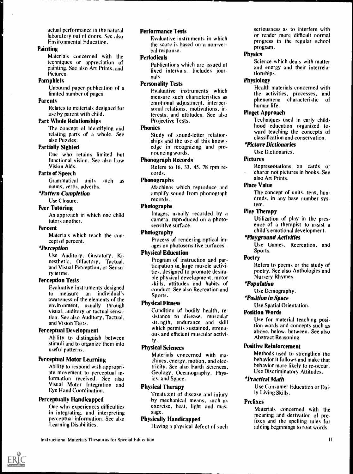actual performance in the natural laboratory out of doors. See also Environmental Education.

#### **Painting**

Materials concerned with the techniques or appreciation of painting. See also Art Prints, and Pictures.

#### Pamphlets

Unbound paper publication of a limited number of pages.

#### Parents

Relates to materials designed for use by parent with child.

## Part Whole Relationships

The concept of identifying and relating parts of a whole. See also Puzzles.

#### Partially Sighted

One who retains limited but functional vision. See also Low Vision Aids.

#### Parts of Speech

Grammatical units such as nouns, verbs, adverbs.

## \*Pattern Completion

Use Closure.

## Peer Tutoring

An approach in which one child tutors another.

#### Percent

Materials which teach the concept of percent.

#### \*Perception

Use Auditory, Gustatory, Kinesthetic, Olfactory, Tactual, and Visual Perception, or Sensory terms.

## Perception Tests

Evaluative instruments designed to measure an individual's awareness of the elements of the environment, usually through visual, auditory or tactual sensation. See also Auditory, Tactual, and Vision Tests.

#### Perceptual Development

Ability to distinguish between stimuli and to organize them into useful patterns.

## Perceptual Motor Learning

Ability to respond with appropriate movement to perceptual information received. See also Visual Motor Integration and Eye Hand Coordination.

## Perceptually Handicapped

One who experiences difficulties in integrating, and interpreting perceptual information. See also Learning Disabilities.

## Performance Tests

Evaluative instruments in which the score is based on a non-verbal response.

#### Periodicals

Publications which are issued at fixed intervals. Includes journals.

#### Personality Tests

Evaluative instruments which measure such characteristics as emotional adjustment, interpersonal relations, motivations, interests, and attitudes. See also Projective Tests.

## **Phonics**

Study of sound-letter relationships and the use of this knowledge in recognizing and pronouncing words.

## Phonograph Records

Refers to 16, 33, 45, 78 rpm records.

## Phonographs

Machines which reproduce and amplify sound from phonograph records.

#### Photographs

Images, usually recorded by a camera, reproduced on a photosensitive surface.

#### Photography

Process of rendering optical images on photosensitive curfaces.

#### Physical Education

Program of instruction and participation in large muscle activities, designed to promote desirable physical development, motor skills, attitudes and habits of conduct. See also Recreation and Sports.

#### Physical Fitness

Condition of bodily health, resistance to disease, muscular strength, endurance and skill which permits sustained, strenuous and efficient muscular activity.

## Physical Sciences

Materials concerned with machines, energy, motion, and electricity. See also Earth Sciences, Geology, Oceanography, Physics, and Space.

## Physical Therapy

Treatment of disease and injury by mechanical means, such as exercise, heat, light and massage.

## Physically Handicapped

Having a physical defect of such

seriousness as to interfere with or render more difficult normal progress in the regular school program.

## Physics

Science which deals with matter and energy and their interrelationships.

#### Physiology

Health materials concerned with the activities, processes, and phenomena characteristic of human life.

#### Piaget Approach

Techniques used in early childhood education organized toward teaching the concepts of classification and conservation.

## \*Picture Dictionaries

Use Dictionaries.

#### Pictures

Representations on cards or charts, not pictures in books. See also Art Prints.

#### Place Value

The concept of units, tens, hundreds, in any base number system.

## Play Therapy

Utilization of play in the presence of a therapist to assist a child's emotional development.

## \*Playground Activities

Use Games, Recreation, and Sports.

#### **Poetry**

Refers to poems or the study of poetry. See also Anthologies and Nursery Rhymes.

## \*Population

Use Demography.

#### \*Position in Space

Use Spatial Orientation.

#### Position Words

Use for material teaching position words and concepts such as above, below, between. See also Abstract Reasoning.

#### Positive Reinforcement

Methods used to strengthen the behavior it follows and make that behavior more likely to re-occur. Use Discriminatory Attitudes.

#### \*Practical Math

Use Consumer Education or Daily Living Skills.

#### Prefixes

Materials concerned with the meaning and derivation of prefixes and the spelling rules for adding beginnings to root words.

Instructional Materials Thesaurus for Special Education I I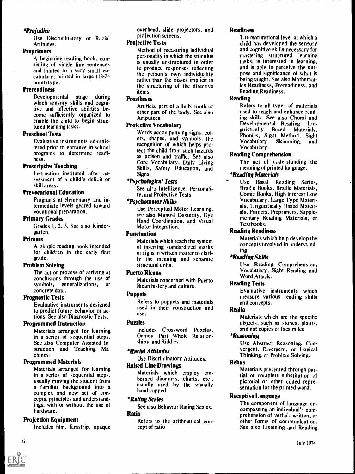## \*Prejudice

Use Discriminatory or Racial Attitudes.

## Preprimers

A beginning reading book, consisting of single line sentences and limited to a very small vocabulary, printed in large (18-24 point) type.

#### Prereadiness

Developmental stage during which sensory skills and cognitive and affective abilities become sufficiently organized to enable the child to begin structured learning tasks.

#### Preschool Tests

Evaluative instruments administered prior to entrance in school programs to determine readiness.

#### Prescriptive Teaching

Instruction instituted after assessment of a child's deficit or skill areas.

## Prevocational Education

Programs at elementary and intermediate levels geared toward vocational preparation.

#### Primary Grades

Grades I, 2, 3. See also Kindergarten.

#### Primers

A simple reading book intended for children in the early first grade.

#### Problem Solving

The act or process of arriving at conclusions through the use of symbols, generalizations, or concrete data.

## Prognostic Tests

Evaluative instruments designed to predict future behavior or actions. See also Diagnostic Tests.

## Programmed Instruction

Materials arranged for learning in a series of sequential steps. See also Computer Assisted Instruction and Teaching Machines.

## Programmed Materials

Materials arranged for learning in a series of sequential steps, usually moving the student from a familiar background into <sup>a</sup> complex and new set of concepts, principles and understandings, with or without the use of hardware.

## Projection Equipment

Includes film, filmstrip, opaque

overhead, slide projectors, and projection screens.

#### Projective Tests

Method of measuring individual personality in which the stimulus is usually unstructured in order to produce ,responses reflecting the person's own individuality rather than the biases implicit in the structuring of the directive items.

## **Prostheses**

Artificial pert of a limb, tooth or other part of the body. See also Amputees.

## Protective Vocabulary

Words accompanying signs, colors, shapes, and symbols, the changes of the vocabulary, recognition of which helps protect the child from such hazards as poison and traffic. See also Core Vocabulary, Daily Living Skills, Safety Education, and Signs.

## \*Psychological Tests

See also Intelligence, Personality, and Projective Tests.

## \*Psychomotor Skills

Use Perceptual Motor Learning. see also Manual Dexterity, Eye Hand Coordination, and Visual Motor Integration.

#### Punctuation

Materials which teach the system of inserting standardized marks or signs in written matter to clarify the meaning and separate structural units.

## Puerto Ricans

Materials concerned with Puerto Rican history and culture.

## **Puppets**

Refers to puppets and materials used in their construction and use.

## Puzzles

Includes Crossword Puzzles, Games, Part Whole Relationships, and Riddles.

## \*Racial Attitudes

Use Discriminatory Attitudes.

## Raised Line Drawings

Materials which employ embossed diagrams, charts, etc., usually used by the visually handicapped.

## \*Rating Scales

See also Behavior Rating Scales.

## Ratio

Refers to the arithmetical concept of ratio.

#### **Readiness**

The maturational level at which a child has developed the sensory and cognitive skills necessary for mastering structured learning tasks, is interested in learning, and is able to perceive the purpose and significance of what is being taught. See also Mathematics Readiness, Prereadiness, and Reading Readiness.

## **Reading**

Refers to all types of materials used to teach and enhance reading skills. See also Choral and Developmental Reading, Lin-<br>guistically Based Materials, guistically Based Materials, Phonics, Signt Method, Sight Skimming, and Vocabulary.

## Reading Comprehension

The act of understanding the meaning of printed language.

## \*Reading Materials

Use Basal Reading Series, Braille Books, Braille Materials, Comic Books, High Interest Low Vocabulary, Large Type Materials, Linguistically Based Materials, Primers, Preprimers, Supplementary Reading Materials, or Textbooks.

## Reading Readiness

Materials which help develop the concepts involved in understanding.

## \*Reading Skills

Use Reading Comprehension, Vocabulary, Sight Reading and Word Attack.

## Reading Tests

Evaluative instruments which measure various reading skills and concepts.

## Realia

Materials which are the specific objects, such as stones, plants, and not copies or facsimiles.

## \*Reasoning

Use Abstract Reasoning, Convergent, Divergent, or Logical Thinking, or Problem Solving.

#### Rebus

Materials presented through partial or couplete substitution of pictorial or other coded representation for the printed word.

## Receptive Language

The component of language encompassing an individual's comprehension of verbal, written, or other forms of communication. See also Listening and Reading

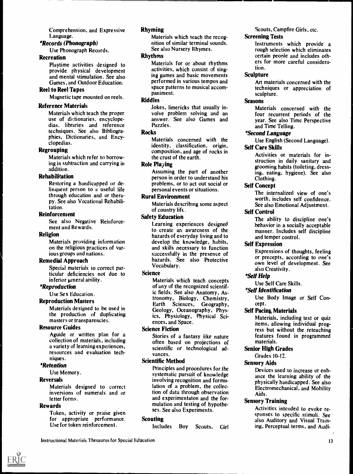Comprehension, and Expressive Language.

## \*Records (Phonograph)

Use Phonograph Records.

#### Recreation

Playtime activities designed to provide physical development and mental stimulation. See also Games, and Outdoor Education.

#### Reel to Reel Tapes

Magnetic tape mounted on reels.

#### Reference Materials

Materials which teach the proper use of dictionaries, encyclopedias, libraries and reference techniques. See also Bibliographies, Dictionaries, and Encyclopedias.

## Regrouping

Materials which refer to borrowing in subtraction and carrying in addition.

#### Rehabilitation

Restoring a handicapped or delinquent person to a useful life through education and or therapy. See also Vocational Rehabilitation.

## **Reinforcement**

See also Negative Reinforcement and Rewards.

#### Religion

Materials providing information on the religious practices of various groups and nations.

#### Remedial Approach

Special materials to correct particular deficiencies not due to inferior general ability.

#### \*Reproduction

Use Sex Education.

## Reproduction Masters

Materials designed to be used in the production of duplicating masters or transparencies.

#### Resource Guides

Aguide or written plan for a collection of materials, including a variety of learning experiences, resources and evaluation techniques.

#### \*Retention

Use Memory.

#### Reversals

Materials designed to correct inversions of numerals and or letter forms.

## Rewards

Token, activity or praise given for appropriate performance. Use for token reinforcement.

## Rhyming

Materials which teach the recognition of similar terminal sounds. See also Nursery Rhymes.

#### Rhythms

Materials for or about rhythms activities, which consist of singing games and basic movements performed in various tempos and space patterns to musical accompaniment.

## Riddles

Jokes, limericks that usually involve problem solving and an answer. See also Games and Puzzles.

## **Rocks**

Materials concerned with the identity, classification, origin, composition, and age of rocks in the crust of the earth.

#### Role Playing

Assuming the part of another person in order to understand his problems, or to act out social or personal events or situations.

#### Rural Environment

Materials describing some aspect of country life.

## Safety Education

Learning experiences designed to create an awareness of the hazards of everyday living and to develop the knowledge, habits, and skills necessary to function successfully in the presence of hazards. See also Protective Vocabulary.

#### **Science**

Materials which teach concepts of any of the recognized scientific fields. See also Anatomy, Astronomy, Biology, Chemistry, Earth Sciences, Geography, Geology, Oceanography, Physics, Physiology, Physical Sciences, and Space.

#### Science Fiction

Stories of a fantasy like nature often based on projections of scientific or technological advances.

## Scientific Method

Principles and procedures for the systematic pursuit of knowledge involving recognition and formulation of a problem, the collection of data through observation and experimentaton and the formulation and testing of hypotheses. See also Experiments.

#### **Scouting**

Includes Boy Scouts, Girl

Scouts, Campfire Girls, etc.

#### Screening Tests

Instruments which provide a rough selection which eliminates certain people and includes others for more careful consideration.

#### **Sculpture**

Art materials concerned with the techniques or appreciation of sculpture.

## Seasons

Materials concerned with the four recurrent periods of the year. See also Time Perspective and Time Telling.

## \*Second Language

Use English (Second Language).

## Self Care Skills

Activities or materials for instruction in daily sanitary and grooming habits (toileting, dressing, eating, hygiene). See also Clothing.

#### Self Concept

The internalized view of one's worth, includes self confidence. See also Emotional Adjustment.

#### Self Control

The ability to discipline one's behavior in a socially acceptable manner. Includes self discipline and temper control.

#### Self Expression

Expressions of thoughts, feeling or precepts, according to one's own level of development. See also Creativity.

#### \*Self Help

Use Self Care Skills.

#### \*Self Identification

Use Body Image or Self Concept.

## Self Pacing Materials

Materials, including test or quiz items, allowing individual progress but without the reteaching features found in programmed materials.

#### Senior High Grades

## Grades 10-12.

Sensory Aids

Devices used to increase or enhance the learning ability of the physically handicapped. See also Electromechanical, and Mobility Aids.

#### Sensory Training

Activities intended to evoke responses to specific stimuli. See also Auditory and Visual Training, Perceptual terms, and Audi-

Instructional Materials Thesaurus for Special Education

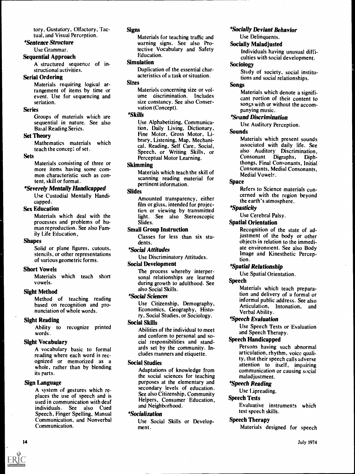tory, Gustatory, Olfactory, Tactual, and Visual Perception.

#### \*Sentence Structure

Use Grammar.

#### Sequential Approach

A structured sequence of instructional activities.

#### Serial Ordering

Materials requiring logical arrangement of items by time or event. Use for sequencing and seriation.

## Series

Groups of materials which are sequential in nature. See also Basal Reading Series.

#### Set Theory

Mathematics materials which teach the concept of set.

#### Sets

Materials consisting of three or more items having some common characteristic such as content, skill or format.

#### \*Severely Mentally Handicapped

Use Custodial Mentally Handicapped.

#### Sex Education

Materials which deal with the processes and problems of human reproduction. See also Family Life Education,

#### Shapes

Solid or plane figures, cutouts, stencils, or other representations of various geometric forms.

#### Short Vowels

Materials which teach short vowels.

## Sight Method

Method of teaching reading based on recognition and pronunciation of whole words.

## Sight Reading

Ability to recognize printed words.

#### Sight Vocabulary

A vocabulary basic to formal reading where each word is recognized or memorized as a whole, rather than by blending its parts.

## Sign Language

A system of gestures which replaces the use of speech and is used in communication with deaf individuals. See also Cued Speech, Finger Spelling, Manual Communication, and Nonverbal Communication.

## **Signs**

Materials for teaching traffic and warning signs. See also Protective Vocabulary and Safety Education.

## Simulation

Duplication of the essential characteristics of a task or situation.

## Sizes

Materials concerning size or volume discrimination. Includes size constancy. See also Conservation (Concept).

## \*Skills

Use Alphabetizing, Communication, Daily Living, Dictionary, Fine Motor, Gross Motor, Library, Listening, Map, Mechanical, Reading, Self Care, Social, Speech, or Writing Skills, or Perceptual Motor Learning.

#### Skimming

Materials which teach the skill of scanning reading material for pertinent information.

#### Slides

Amounted transparency, either film or glass, intended for projection or viewing by transmitted light. See also Stereoscopic Slides.

## Small Group Instruction

Classes for less than six students.

## \*Social Attitudes

Use Discriminatory Attitudes.

#### Social Development

The process whereby interpersonal relationships are learned during growth to adulthood. See also Social Skills.

#### \*Social Sciences

Use Citizenship, Demography, Economics, Geography, History, Social Studies, or Sociology.

#### Social Skills

Abilities of the individual to meet and conform to personal and social responsibilities and standards set by the community. Includes manners and etiquette.

#### Social Studies

Adaptations of knowledge from the social sciences for teaching purposes at the elementary and secondary levels of education. See also Citizenship, Community Helpers, Consumer Education, and Neighborhood.

#### \*Socialization

Use Social Skills or Development.

#### \*Socially Deviant Behavior

Use Delinquents.

#### Socially Maladjusted

Individuals having unusual diffi culties with social development.

#### Sociology

Study of society, social institu tions and social relationships.

#### Songs

Materials which denote a signifi cant portion of their content to songs with or without the accom panying music.

#### \* Sound Discrimination

Use Auditory Perception.

#### Sounds

Materials which present sounds associated with daily life. See also Auditory Discrimination Consonant Digraphs, Diphthongs, Final Consonants, Initial Consonants, Medial Consonants Medial Vowels.

#### Space

Refers to Science materials concerned with the region beyond the earth's atmosphere.

## \*Spasticity

Use Cerebral Palsy.

#### Spatial Orientation

Recognition of the state of adjustment of the body or other objects in relation to the immediate environment. See also Body Image and Kinesthetic Perception.

#### \*Spatial Relationship

Use Spatial Orientation.

#### Speech

Materials which teach preparation and delivery of a formal or informal public address. See also Articulation, Intonation, and Verbal Ability.

#### \*Speech Evaluation

Use Speech Tests or Evaluation and Speech Therapy.

## Speech Handicapped

Persons having such abnormal articulation, rhythm, voice quality, that their speech calls adverse attention to itself, impairing communication or causing social maladiustment.

#### \*Speech Reading

Use Lipreading.

#### Speech Tests

Evaluative instruments which test speech skills.

#### Speech Therapy

Materials designed for speech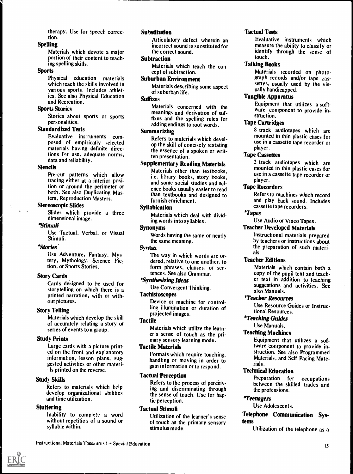therapy. Use for speech correction.

#### Spelling

Materials which devote a major portion of their content to teaching spelling skills.

#### **Sports**

Physical education materials which teach the skills involved in various sports. Includes athletics. See also Physical Education and Recreation.

## Sports Stories

Stories about sports or sports personalities.

#### Standardized Tests

Evaluative instruments composed of empirically selected materials having definite directions for use, adequate norms, data and reliability.

#### Stencils

Pre-cut patterns which allow tracing either at a interior position or around the perimeter or both. See also Duplicating Masters, Reproduction Masters.

#### Stereoscopic Slides

Slides which provide a three dimensional image.

#### \*Stimuli

Use Tactual, Verbal, or Visual Stimuli.

#### \*Stories.

Use Adventure, Fantasy, Mys tery, Mythology, Science Fiction, or Sports Stories.

#### Story Cards

Cards designed to be used for storytelling on which there is a printed narration, with or without pictures.

#### Story Telling

Materials which develop the skill of accurately relating a story or series of events to a group.

#### Study Prints

Large cards with a picture printed on the front and explanatory information, lesson plans, suggested activities or other materi- $\therefore$  is printed on the reverse.

#### Stud) Skills

Refers to materials which help develop organizational abilities and time utilization.

## **Stuttering**

Inability to complete a word without repetition of a sound or syllable within.

## Substitution

Articulatory defect wherein an incorrect sound is substituted for the correct sound.

#### Subtraction

Materials which teach the concept of subtraction.

## Suburban Environment

Materials describing some aspect of suburban life.

## Suffixes

Materials concerned with the meanings and derivation of suffixes and the spelling rules for adding endings to root words.

## Summarizing

Refers to materials which develop the skill of concisely restating the essence of a spoken or written presentation.

## Supplementary Reading Materials

Materials other than textbooks, i.e. library books, story books, and some social studies and science books usually easier to read than textbooks and designed to furnish enrichment.

#### Syllabication

Materials which deal with dividing words into syllables.

#### Synonyms

Words having the same or nearly the same meaning.

#### Syntax

The way in which words are ordered, relative to one another, to form phrases, clauses, or sentences. See also Grammar.

## \*Synthesizing ideas

Use Convergent Thinking.

## Tachistoscopes

Device or machine for controlling illumination or duration of projected images.

#### Tactile

Materials which utilize the learner's sense of touch as the primary sensory learning mode.

#### Tactile Materials

Formats which require touching, handling or moving in order to gain information or to respond.

#### Tactual Perception

Refers to the process of perceiving and discriminating through the sense of touch. Use for haptic perception.

### Tactual Stimuli

Utilization of the learner's sense of touch as the primary sensory stimulus mode.

## Tactual Tests

Evaluative instruments which measure the ability to classify or identify through the sense of touch.

## Talking Books

Materials recorded on photograph records and/or tape cassettes, usually used by the visually handicapped.

#### Tangible Apparatus

Equipment that utilizes a software component to provide instruction.

## Tape Cartridges

8 track audiotapes which are mounted in thin plastic cases for use in a cassette tape recorder or player.

#### Tape Cassettes

2 track audiotapes which are mounted in thin plastic cases for use in a cassette tape recorder or player.

## Tape Recorders

Refers to machines which record and play back sound. Includes cassette tape recorders.

## \*Tapes

Use Audio or Video Tapes.

## Teacher Developed Materials

Instructional materials prepared by teachers or instructions about the preparation of such materials.

## Teacher Editions

Materials which contain both a copy of the pupil text and teacher text in addition to teaching suggestions and activities. See also Manuals.

#### \*Teacher Resources

Use Resource Guides or Instructional Resources.

## \*Teaching Guides

Use Manuals.

#### Teaching Machines

Equipment that utilizes a software component to provide instruction. See also Programmed Materials, and Self Pacing Materials.

## Technical Education

Preparation for occupations between the skilled trades and the professions.

#### \*Teenagers

Use Adolescents.

## Telephone Communication Systems

Utilization of the telephone as a

Instructional Materials Thesaurus fcr Special Education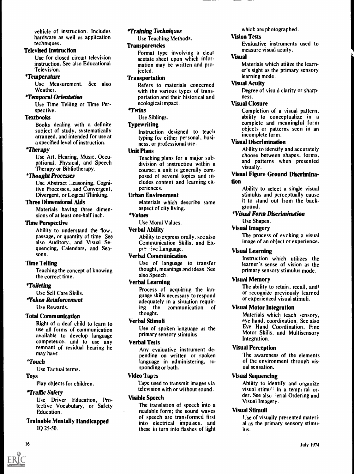vehicle of instruction. Includes hardware as well as application techniques.

## Televised Instruction

Use for closed circuit television instruction. See also Educational Television.

## \*Temperature

Use Measurement. See also Weather.

## \*Temporal Orientation

Use Time Telling or Time Perspective.

## Textbooks

Books dealing with a definite subject of study, systematically arranged, and intended for use at a specified level of instruction.

## \*Therapy

Use Art, Hearing, Music, Occupational, Physical, and Speech Therapy or Bibliotherapy.

## \*Thought Processes

Use Abstract ..easoning, Cognitive Processes, and Convergent, Divergent, or Logical Thinking.

## Three Dimensional Aids

Materials having three dimensions of at least one-half inch.

## Time Perspective

Ability to understand the flow, passage, or quantity of time. See also Auditory, and Visual Sequencing, Calendars, and Seasons.

## Time Telling

Teaching the concept of knowing the correct time.

## \*Toileting

Use Self Care Skills.

## \*Token Reinforcement

Use Rewards.

## Total Communication

Right of a deaf child to learn to use all forms of communication available to develop language competence, and to use any remnant of residual hearing he may have .

## \*Touch

Use Tactual terms.

## Toys

Play objects for children.

## \*Traffic Safety

Use Driver Education, Protective Vocabulary, or Safety Education.

## Trainable Mentally Handicapped IQ 25-50.

## \*Training Techniques

Use Teaching Methods.

## **Transparencies**

Format type involving a clear acetate sheet upon which information may be written and projected.

## **Transportation**

Refers to materials concerned with the various types of transportation and their historical and ecological impact.

## \*Twins

## Use Siblings. **Typewriting**

Instruction designed to teach typing for either personal, business, or professional use.

## Unit Plans

Teaching plans for a major subdivision of instruction within a course; a unit is generally composed of several topics and includes content and learning experiences.

## Urban Environment

Materials which describe same aspect of city living.

## \*Values

Use Moral Values.

## Verbal Ability

Ability to express orally. see also Communication Skills, and Expressive Language.

## Verbal Communication

Use of language to transfer thought, meanings and ideas. See also Speech.

## Verbal Learning

Process of acquiring the language skills necessary to respond adequately in a situation requir-<br>ing the communication of communication of thought.

## Verbal Stimuli

Use of spoken language as the primary sensory stimulus.

## Verbal Tests

Any evaluative instrument depending on written or spoken language in administering, responding or both.

## Video Tapes

Tape used to transmit images via television with or without sound.

## Visible Speech

The translation of speech into a readable form; the sound waves of speech are transformed first into electrical impulses, and these in turn into flashes of light which are photographed.

## Vision Tests

Evaluative instruments used to measure visual acuity.

## Visual

Materials which utilize the learner's sight as the primary sensory learning mode.

## Visual Acuity

Degree of visual clarity or sharpness.

## Visual Closure

Completion of a visual pattern, ability to conceptualize in a complete and meaningful form objects or patterns seen in an incomplete form.

## Visual Discrimination

Ability to identify and accurately choose between shapes, forms, and patterns when presented visually.

## Visual Figure Ground Discrimination

Ability to select a single visual stimulus and perceptually cause it to stand out from the background.

## \*Visual Form Discrimination

Use Shapes.

## Visual Imagery

The process of evoking a visual image of an object or experience.

## Visual Learning

Instruction which utilizes the learner's sense of vision as the primary sensory stimulus mode.

## Visual Memory

The ability to retain, recall, and/ or recognize previously learned or experienced visual stimuli.

## Visual Motor Integration

Materials which teach sensory, eye hand, coordination. See also Eye Hand Coordination, Fine Motor Skills, and Multisensory Integration.

## Visual Perception

The awareness of the elements of the environment through visual sensation.

## Visual Sequencing

Ability to identify and organize visual stimu<sup> $t$ </sup> in a temporal order. See also serial Ordering and Visual Imagery.

## Visual Stimuli

Use of visually presented material as the primary sensory stimulus.

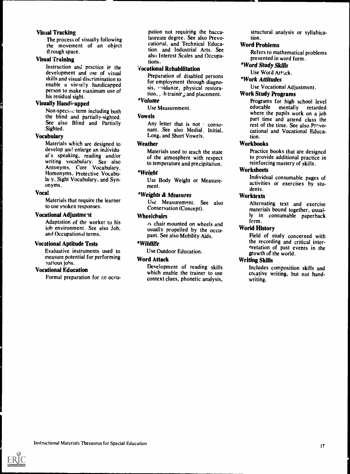#### Visual Tracking

The process of visually following the movement of an object tt.rough space.

## Visual Training

Instruction and practice ir the development and use of visual skills and visual discrimination to person to make maximum use of his residual sight.

## **Visually Handicapped**

Non-specine term including both the blind and partially-sighted. See also Blind and Partially Sighted.

## Vocabulary

Materials which are designed to develop and enlarge an individual's speaking, reading and/or writing vocabulary. See also Antonyms, Core Vocabulary, Homonyms, Protective Vocabula: y, Sight Vocabulary, and Synonyms.

#### Vocal

Materials that require the learner to use snoken responses.

#### Vocational Adjustment

Adaptation of the worker to his job environment. See also Job, and Occupational terms.

#### Vocational Aptitude Tests

Evaluative instruments used to measure potential for performing various jobs.

## Vocational Education

Formal preparation for an occu-

pation not requiring the baccalaureate degree. See also Prevocational, and Technical Education, and Industrial Arts. See also Interest Scales and Occupations.

#### Vocational Rehabilitation

enable a visually handicapped<br>nervon to make neutron when  $\frac{1}{100}$  sis, whidance, physical restora-Preparation of disabled persons for employment through diagnotion,  $\Box$ , ib trainir, and placement.

# \*Volume

Use Measurement.

## Vowels

Any letter that is not  $\infty$  consonant. See also Medial, Initial, Long, and Short Vowels.

#### **Weather**

Materials used to teach the state of the atmosphere with respect to temperature and precipitation.

#### \*Weight

Use Body Weight or Measurement.

## \*Weights & Measures

Use Measurement. See also Conservation (Concept).

#### **Wheelchairs**

 $A$  chair mounted on wheels and usually propelled by the occupant. See also Mobility Aids.

## \*Wildlife

Use Outdoor Education.

## Word Attack

Development of reading skills which enable the trainer to use context clues, phonetic analysis, structural analysis or syllabication.

## Word Problems

Refers to mathematical problems presented in word form.

## \*Word Study Skills

Use Word Attack.

## \*Work Attitudes

Use Vocational Adjustment.

## Work Study Programs

Programs for high school level<br>educable mentally retarded mentally retarded where the pupils work on a job part time and attend class the rest of the time. See also Prevocational and Vocational Education.

## Workbooks

Practice books that are designed to provide additional practice in reinforcing mastery of skills.

## **Worksheets**

Individual consumable pages of activities or exercises by students.

## **Worktexts**

Alternating text and exercise materials bound together, usually in consumable paperback form.

## World History

Field of study concerned with the recording and critical internretation of past events in the growth of the world.

## Writing Skills

Includes composition skills and creative writing, but not handwriting.

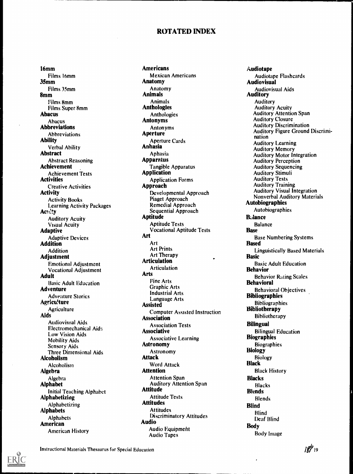## ROTATED INDEX

16mm Films 16mm 35mm Films 35mm 8mm Films 8mm Films Super 8mm Abacus Abacus Abbreviations Abbreviations Ability Verbal Ability Abstract Abstract Reasoning Achievement Achievement Tests **Activities** Creative Activities Activity Activity Books Learning Activity Packages Act ty Auditory Acuity Visual Acuity Adaptive Adaptive Devices Addition Addition Adjustment Emotional Adjustment Vocational Adjustment Adult Basic Adult Education Adventure Adventure Stories Agricu!ture **Agriculture** Aids Audiovisual Aids Electromechanical Aids Low Vision Aids Mobility Aids Sensory Aids Three Dimensional Aids Alcoholism **Alcoholism** Algebra Algebra Alphabet Initial Teaching Alphabet Alphabetizing Alphabetizing Alphabets Alphabets American American History

Americans Mexican Americans Anatomy Anatomy Animals Animals Anthologies Anthologies Antonyms Antonyms **Aperture** Aperture Cards Anhasia Aphasia **Apparatus** Tangible Apparatus Application Application Forms Approach Developmental Approach Piaget Approach Remedial Approach Sequential Approach Aptitude Aptitude Tests Vocational Aptitude Tests Art Art Art Prints Art Therapy Articulation Articulation Arts Fine Arts Graphic Arts Industrial Arts Language Arts Assisted Computer Assisted Instruction Association Association Tests **Associative** Associative Learning Astronomy Astronomy Attack Word Attack Attention Attention Span Auditory Attention Span Attitude Attitude Tests Attitudes Attitudes Discriminatory Attitudes Audio Audio Equipment Audio Tapes

Audiotape Audiotape Flashcards Audiovisual Audiovisual Aids Auditory Auditory Auditory Acuity Auditory Attention Span Auditory Closure Auditory Discrimination Auditory Figure Ground Discriminat ion Auditory Learning Auditory Memory Auditory Motor Integration Auditory Perception Auditory Sequencing Auditory Stimuli Auditory Tests Auditory Training Auditory Visual Integration Nonverbal Auditory Materials Autobiographies Autobiographies **Balance Balance Base** Base Numbering Systems Based Linguistically Based Materials Basic Basic Adult Education Behavior Behavior Rating Scales Behavioral Behavioral Objectives Bibliographies Bibliographies Bibliotherapy Bibliotherapy Bilingual Bilingual Education **Biographies Biographies** Biology Biology Black Black History **Blacks** Blacks **Blends** Blends Blind Blind Deaf Blind Body Body Image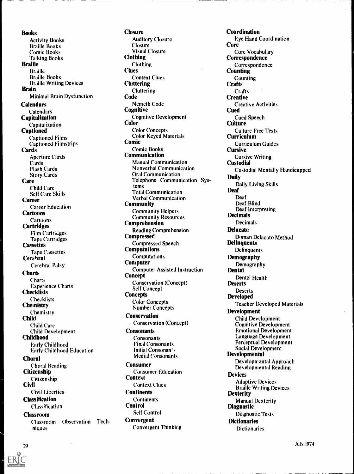**Books** Activity Books Braille Books Comic Books Talking Books Braille **Braille** Braille Books Braille Writing Devices Brain Minimal Brain Dysfunction **Calendars** Calendars **Capitalization** Capitalization **Captioned** Captioned Films Captioned Filmstrips **Cards** Aperture Cards **Cards** Flash Cards Story Cards **Care** Child Care Self Care Skills Career Career Education Cartoons Cartoons **Cartridges** Film Cartridges Tape Cartridges **Cassettes** Tape Cassettes Cerebral Cerebral Palsy **Charts Charts** Experience Charts **Checklists** Checklists **Chemistry** Chemistry **Child** Child Care Child Development Childhood Early Childhood Early Childhood Education Choral Choral Reading Citizenship Citizenship **Civil** Civil Liberties **Classification** Classification Classroom Classroom Observation Techniques

**Closure** Auditory Closure Closure Visual Closure Clothing Clothing **Clues** Context Clues **Cluttering Cluttering** Code Nemeth Code **Cognitive** Cognitive Development Color Color Concepts Color Keyed Materials Comic Comic Books Communication Manual Communication Nonverbal Communication Oral Communication Telephone Communication Systems Total Communication Verbal Communication **Community** Community Helpers. Community Resources Comprehension Reading Comprehension **Compressed** Compressed Speech Computations Computations Computer Computer Assisted Instruction **Concept** Conservation (Concept) Self Concept **Concepts** Color Concepts Number Concepts Conservation Conservation (Concept) **Consonants Consonants** Final Consonants Initial Consonants Medial Consonants Consumer Consumer Education **Context** Context Clues **Continents** Continents **Control** Self Control Convergent Convergent Thinking

Coordination Eye Hand Coordination Core Core Vocabulary **Correspondence** Correspondence Counting **Counting Crafts Crafts Creative** Creative Activities **Cued** .Cued Speech **Culture** Culture Free Tests Curriculum Curriculum Guides Cursive Cursive Writing Custodial Custodial Mentally Handicapped Daily Daily Living Skills Deaf Deaf Deaf Blind Deaf Interpreting Decimals Decimals **Delacatc** Doman Delacato Method **Delinquents Delinquents** Demography Demography **Dental** Dental Health **Deserts** Deserts Developed Teacher Developed Materials Development Child Development Cognitive Development Emotional Development Language Development Perceptual Development Social Developmen: Developmental Developmental Approach Developmental Reading Devices Adaptive Devices Braille Writing Devices **Dexterity** Manual Dexterity Diagnostic Diagnostic Tests **Dictionaries Dictionaries**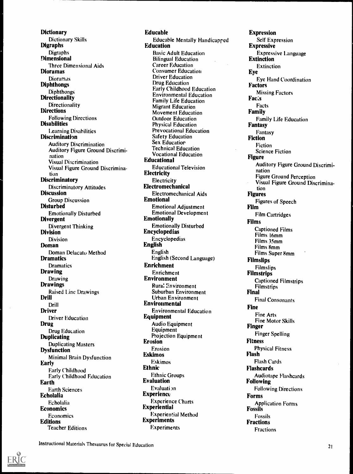**Dictionary** Dictionary Skills Digraphs **Digraphs** Dimensional Three Dimensional Aids Dioramas Dioramas Diphthongs Diphthongs **Directionality Directionality Directions** Following Directions **Disabilities** Learning Disabilities Discrimination Auditory Discrimination Auditory Figure Ground Discrimination Visual Discrimination Visual Figure Ground Discrimination **Discriminatory** Discriminatory Attitudes **Discussion** Group Discussion Disturbed Emotionally Disturbed Divergent Divergent Thinking Division Division Doman Doman Delacatu Method Dramatics Dramatics Drawing Drawing Drawings Raised Line Drawings Drill Drill Driver Driver Education Drug Drug Education Duplicating Duplicating Masters Dysfunction Minimal Brain Dysfunction Early Early Childhood Early Childhood Education Earth Earth Sciences Echolalia Echolalia Economics Economics Editions Teacher Editions

Educable Educable Mentally Handicapped Education Basic Adult Education Bilingual Education Career Education Consumer Education Driver Education Drug Education Early Childhood Education Environmental Education Family Life Education Migrant Education Movement Education Outdoor Education Physical Education Prevocational Education Safety Education Sex Education Technical Education Vocational Education Educational Educational Television Electricity **Electricity** Electromechanical Electromechanical Aids Emotional Emotional Adjustment Emotional Development **Emotionally** Emotionally Disturbed Encyclopedias Encyclopedias English English English (Second Language) Enrichment Enrichment Environment Rura: Environment Suburban Environment Urban Environment Environmental Environmental Education Equipment Audio Equipment Equipment Projection Equipment Erosion Erosion Eskimos Eskimos Ethnic Ethnic Groups Evaluation Evaluati 3n **Experience** Experience Charts Experiential Experiential Method Experiments Experiments

Expression Self Expression Expressive Expressive Language Extinction Extinction Eye Eye Hand Coordination Factors **Missing Factors**<br>**Facts** Facts Family Family Life Education Fantasy Fantasy Fiction Fiction Science Fiction Figure Auditory Figure Ground Discrimination Figure Ground Perception Visual Figure Ground Discrimination Figures Figures of Speech Film Film Cartridges Films Captioned Films Films 16mm Films 35mm Films 8mm Films Super 8mm **Filmslips Filmslips** Filmstrips Captioned Filmstrips **Filmstrips** Final Final Consonants Fine Fine Arts Fine Motor Skills Finger Finger Spelling **Fitness** Physical Fitness Flash Flash Cards Flashcards Audiotape Flashcards Following Following Directions Forms Application Forms Fossils Fossils Fractions Fractions

Instructional Materials Thesaurus for Special Education 21 22

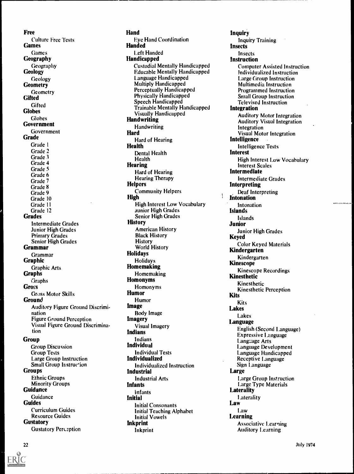Free Culture Free Tests Games Games Geography Geography **Geology** Geology **Geometry** Geometry **Gifted Gifted Globes** Globes Government Government **Grade** Grade I Grade 2 Grade 3 Grade 4 Grade 5 Grade 6 Grade 7 Grade 8 Grade 9 Grade 10 Grade 11 Grade 12 **Grades** Intermediate Grades Junior High Grades Primary Grades Senior High Grades Grammar Grammar Graphic Graphic Arts Graphs Graphs **Gross** Gross Motor Skills **Ground** Auditory Figure Ground Discrimination Figure Ground Perception Visual Figure Ground Discrimination Group Group Discussion Group Tests Large Group Instruction Small Group Instruction Groups Ethnic Groups Minority Groups **Guidance** Guidance **Guides** Curriculum Guides Resource Guides **Gustatory** 

Gustatory Perception

Hand Eye Hand Coordination Handed Left Handed **Handicapped** Custodial Mentally Handicapped Educable Mentally Handicapped Language Handicapped Multiply Handicapped Perceptually Handicapped Physically Handicapped Speech Handicapped Trainable Mentally Handicapped Visually Handicapped Handwriting **Handwriting** Hard Hard of Hearing Health Dental Health Health Hearing Hard of Hearing Hearing Therapy **Helpers** Community Helpers High High Interest Low Vocabulary junior High Grades Senior High Grades **History** American History Black History History World History Holidays Holidays Homemaking Homemaking Homonyms Homonyms Humor Humor Image Body Image Imagery Visual Imagery Indians Indians Individual Individual Tests Individualized Individualized Instruction Industrial Industrial Arts Infants infants Initial Initial Consonants Initial Teaching Alphabet Initial Vowels Inkprint lnkprint

Inquiry Inquiry Training Insects Insects Instruction Computer Assisted Instruction Individualized Instruction Large Group Instruction Multimedia Instruction Programmed Instruction Small Group Instruction Televised Instruction Integration Auditory Motor Integration Auditory Visual Integration Integration Visual Motor Integration Intelligence Intelligence Tests Interest High Interest Low Vocabulary Interest Scales Intermediate Intermediate Grades Interpreting Deaf Interpreting Intonation Intonation Islands Islands Junior Junior High Grades Keyed Color Keyed Materials Kindergarten Kindergarten Kinescope Kinescope Recordings Kinesthetic Kinesthetic Kinesthetic Perception<br>Kits Kits Lakes Lakes Language English (Second Language) Expressive Language Language Arts Language Development Language Handicapped Receptive Language Sign Language Large Large Group Instruction Large Type Materials **Laterality** Laterality Law Law Learning Associative Learning Auditory Learning

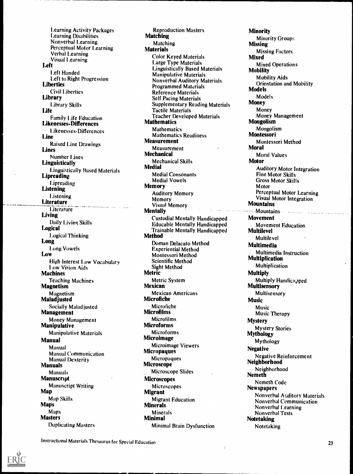Learning Activity Packages Learning Disabilities Nonverbal Learning Perceptual Motor Learning Verbal Learning Visual Learning Left Left Handed Left to Right Progression **Liberties** Civil Liberties Library Library Skills Life Family Life Education Likenesses-Differences Likenesses-Differences Line Raised Line Drawings Lines Number Lines **Linguistically** Linguistically Based Materials **Lipreading Lipreading** Listening **Listening Literature Literature** Living Daily Living Skills Logical Logical Thinking Long Long Vowels Low High Interest Low Vocabulary Low Vision Aids Machines Teaching Machines **Magnetism** Magnetism Maladjusted Socially Maladjusted Management Money Management Manipulative Manipulative Materials Manual Manual Manual Communication Manual Dexterity **Manuals** Manuals **Manuscript** Manuscript Writing Map Map Skills Maps Maps Masters Duplicating Masters

Reproduction Masters Matching Matching **Materials** Color Keyed Materials Large Type Materials Linguistically Based Materials Manipulative Materials Nonverbal Auditory Materials Programmed Materials Reference Materials Self Pacing Materials Supplementary Reading Materials Tactile Materials Teacher Developed Materials **Mathematics** Mathematics Mathematics Readiness Measurement Measurement Mechanical Mechanical Skills Medial Medial Consonants Medial Vowels Memory Auditory Memory Memory Visual Memory **Mentally** Custodial Mentally Handicapped Educable Mentally Handicapped Trainable Mentally Handicapped Method Doman Delacato Method Experiential Method Montessori Method Scientific Method Sight Method Metric Metric System Mexican Mexican Americans Microfiche Microfiche **Microfilms Microfilms** Microforms **Microforms** Microimage Microimage Viewers **Micropaques Micropaques** Microscope Microscope Slides Microscopes Microscopes Migrant Migrant Education Minerals Minerals Minimal Minimal Brain Dysfunction

**Minority** Minority Groups Missing Missing Factors Mixed Mixed Operations Mobility Mobility Aids Orientation and Mobility **Models** Models Money Money Money Management Mongolism Mongolism Montessori Montessori Method Moral Moral Values Motor Auditory Motor Integration Fine Motor Skills Gross Motor Skills Motor Perceptual Motor Learning Visual Motor Integration Mountains °°Mountains. **Movement** Movement Education Multilevel Multilevel Multimedia Multimedia Instruction Multiplication Multiplication Multiply Multiply Handicapped **Multisensory** Multisensory Music Music Music Therapy Mystery Mystery Stories Mythology Mythology **Negative** Negative Reinforcement Neighborhood Neighborhood Nemeth Nemeth Code Newspapers Nonverbal Auditory Materials Nonverbal Communication Nonverbal Learning Nonverbal Tests Notetaking Notetaking

Instructional Materials Thesaurus for Special Education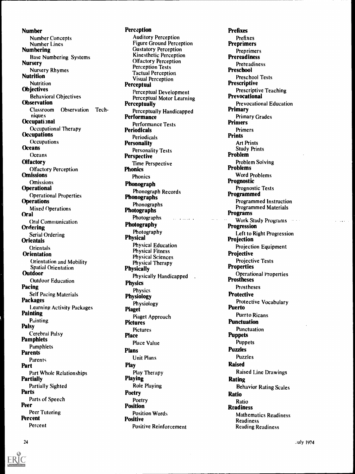Number Number Concepts Number Lines Numbering Base Numbering Systems Nursery Nursery Rhymes Nutrition **Nutrition Objectives** Behavioral Objectives **Observation** Classroom Observation Techniques Occupational Occupational Therapy **Occupations Occupations Oceans Oceans Olfactory** Olfactory Perception **Omissions Omissions Operational** Operational Properties **Operations** Mixed Operations Oral Oral Communication Ordering Serial Ordering **Orientals Orientals Orientation** Orientation and Mobility Spatial Orientation **Outdoor** Outdoor Education Pacing Self Pacing Materials Packages Learning Activity Packages Painting Painting Palsy Cerebral Palsy Pamphlets Pamphlets Parents Parents Part Part Whole Relationships Partially Partially Sighted Parts Parts of Speech Peer Peer Tutoring Percent Percent

## **Perception**

Auditory Perception Figure Ground Perception Gustatory Perception Kinesthetic Perception Olfactory Perception Perception Tests Tactual Perception Visual Perception Perceptual Perceptual Development Perceptual Motor Learning **Perceptually** Perceptually Handicapped Performance Performance Tests Periodicals **Periodicals Personality** Personality Tests Perspective Time Perspective **Phonics** Phonics Phonograph Phonograph Records Phonographs Phonographs Photographs Photographs **Photographs Photographs Photographs** Photography Photography Physical Physical Education Physical Fitness Physical Sciences Physical Therapy **Physically** Physically Handicapped **Physics** Physics Physiology Physiology Piaget Piaget Approach Pictures Pictures Place Place Value Plans Unit Plans Play Play Therapy Playing Role Playing Poetry Poetry Position Position Words Positive Positive Reinforcement

Prefixes Prefixes Preprimers **Preprimers** Prereadiness **Preteadiness** Preschool Preschool Tests Prescriptive Prescriptive Teaching Prevocational Prevocational Education Primary Primary Grades Primers Primers Prints Art Prints Study Prints Problem Problem Solving Problems Word Problems Prognostic Prognostic Tests Programmed Programmed Instruction Programmed Materials Programs Work Study Programs Progression Left to Right Progression Projection Projection Equipment Projective Projective Tests Properties Operational l'roperties Prostheses Prostheses **Protective** Protective Vocabulary Puerto Puerto Ricans Punctuation Punctuation **Puppets** Puppets Puzzles Puzzles Raised Raised Line Drawings Rating Behavior Rating Scales Ratio Ratio Readiness Mathematics Readiness Readiness Reading Readiness

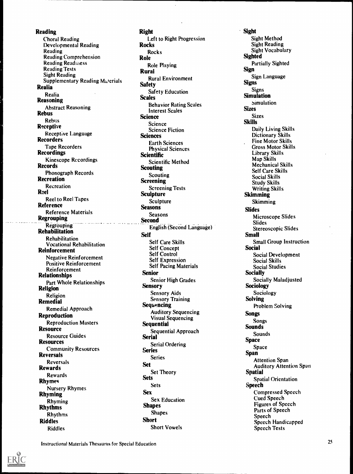Reading Choral Reading Developmental Reading Reading Reading Comprehension Reading Readiness Reading Tests Sight Reading Supplementary Reading Materials Realia Realia Reasoning Abstract Reasoning Rebus Rebus **Receptive** Receptive Language **Recorders** Tape Recorders **Recordings** Kinescope Recordings **Records** Phonograph Records Recreation Recreation Reel Reel to Reel Tapes Reference Reference Materials Regrouping **Example 2008** Regrouping Rehabilitation Rehabilitation Vocational Rehabilitation Reinforcement Negative Reinforcement Positive Reinforcement Reinforcement Relationships Part Whole Relationships Religion Religion Remedial Remedial Approach Reproduction Reproduction Masters **Resource** Resource Guides Resources Community Resources Reversals Reversals Rewards Rewards Rhymes Nursery Rhymes Rhyming Rhyming Rhythms Rhythms Riddles Riddles

Right Left to Right Progression Rocks **Rocks** Role Role Playing Rural Rural Environment **Safety** Safety Education **Scales** Behavior Rating Scales Interest Scales **Science** Science Science Fiction **Sciences** Earth Sciences Physical Sciences **Scientific** Scientific Method **Scouting Scouting Screening** Screening Tests Sculpture Sculpture Seasons Seasons **Second** English (Second Language) Self Self Care Skills Self Concept Self Control Self Expression Self Pacing Materials Senior Senior High Grades **Sensory** Sensory Aids Sensory Training **Sequencing** Auditory Sequencing Visual Sequencing **Sequential** Sequential Approach Serial Serial Ordering Series Series Set Set Theory Sets **Sets** Sex Sex Education Shapes Shapes Short Short Vowels

Sight Sight Method Sight Reading Sight Vocabulary **Sighted** Partially Sighted Sign Sign Language Signs **Signs** Simulation simulation **Sizes** Sizes Skills Daily Living Skills Dictionary Skills Fine Motor Skills Gross Motor Skills Library Skills Map Skills Mechanical Skills Self Care Skills Social Skills Study Skills Writing Skills Skimming **Skimming** Slides Microscope Slides Slides Stereoscopic Slides Small Small Group Instruction Social Social Development Social Skills Social Studies **Socially** Socially Maladjusted Sociology Sociology Solving Problem Solving Songs Songs **Sounds** Sounds Space Space Span Attention Span Auditory Attention Span Spatial Spatial Orientation Speech Compressed Speech Cued Speech Figures of Speech Parts of Speech Speech Speech Handicapped Speech Tests

Instructional Materials Thesaurus for Special Education

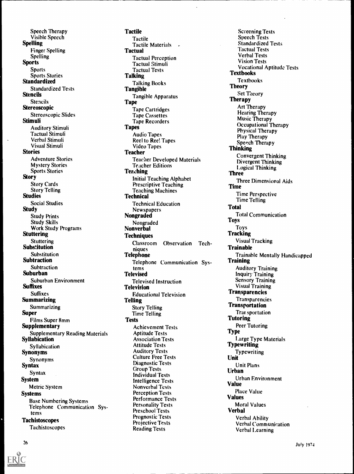Speech Therapy Visible Speech Spelling Finger Spelling Spelling **Sports** Sports Sports Stories **Standardized** Standardized Tests Stencils Stencils Stereoscopic Stereoscopic Slides **Stimuli** Auditory Stimuli Tactual Stimuli Verbal Stimuli Visual Stimuli **Stories** Adventure Stories Mystery Stories Sports Stories Story Story Cards Story Telling **Studies** Social Studies **Study** Study Prints Study Skills Work Study Programs Stuttering Stuttering **Substitution** Substitution Subtraction Subtraction Suburban Suburban Environment **Suffixes** Suffixes Summarizing Summarizing Super Films Super 8mm **Supplementary** Supplementary Reading Materials Syllabication Syllabication Synonyms Synonyms Syntax Syntax System Metric System Systems Base Numbering Systems Telephone Communication Systems **Tachistoscopes** Tachistoscopes

**Tactile** Tactile Tactile Materials **Tactual** Tactual Perception Tactual Stimuli Tactual Tests **Talking** Talking Books Tangible Tangible Apparatus **Tape** Tape Cartridges Tape Cassettes Tape Recorders **Tapes** Audio Tapes Reel to Reel Tapes Video Tapes **Teacher** Teacher Developed Materials Teacher Editions Teaching Initial Teaching Alphabet Prescriptive Teaching Teaching Machines **Technical** Technical Education Newspapers Nongraded Nongraded Nonverbal **Techniques** Classroom Observation Techniques Telephone Telephone Communication Systems **Televised** Televised Instruction Television Educational Television **Telling** Story Telling Time Telling Tests Achievement Tests Aptitude Tests Association Tests Attitude Tests Auditory Tests Culture Free Tests Diagnostic Tests Group Tests Individual Tests Intelligence Tests Nonverbal Tests Perception Tests Performance Tests Personality Tests Preschool Tests Prognostic Tests Projective Tests Reading Tests

Screening Tests Speech Tests Standardized Tests Tactual Tests Verbal Tests Vision Tests Vocational Aptitude Tests **Textbooks** Textbooks Theory Set Theory Therapy Art Therapy Hearing Therapy Music Therapy Occupational Therapy Physical Therapy Play Therapy Speech Therapy Thinking Convergent Thinking Divergent Thinking I .ogical Thinking Three Three Dimensional Aids Time Time Perspective Time Telling Total Total Communication Toys Toys **Tracking** Visual Tracking Trainable Trainable Mentally Handicapped **Training** Auditory Training Inquiry Training Sensory Training Visual Training Transparencies Transparencies Transportation Trar, sportation **Tutoring** Peer Tutoring Type Large Type Materials<br>Typewriting Typewriting Unit Unit Plans Urban Urban Environment Value Place Value Values Moral Values Verbal Verbal Ability Verbal Communication Verbal Learning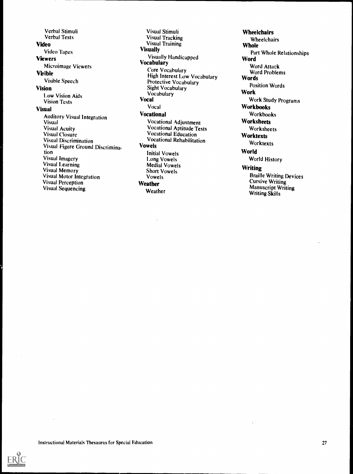Verbal Stimuli Verbal Tests Video Video Tapes **Viewers** Microimage Viewers Visible Visible Speech Vision 1.0w Vision Aids Vision Tests Visual Auditory Visual Integration **Visual** Visua Acuity Visua Closure Visua Discrimination Visua Figure Ground Discrimination Visua Imagery Visua Learning Visua Memory Visua Motor Integration Visua Perception Visua Sequencing

Visual Stimuli Visual Tracking Visual Training **Visually** Visually Handicapped **Vocabulary** Core Vocabulary High Interest Low Vocabulary Protective Vocabulary Sight Vocabulary Vocabulary Vocal Vocal Vocational Vocational Adjustment Vocational Aptitude Tests Vocational Education Vocational Rehabilitation Vowels Initial Vowels Long Vowels Medial Vowels Short Vowels Vowels Weather Weather

**Wheelchairs** Wheelchairs **Whole** Part Whole Relationships **Word** Word Attack Word Problems **Words** Position Words Work Work Study Programs Workbooks Workbooks **Worksheets** Worksheets **Worktexts** Worktexts **World** World History **Writing** Braille Writing Devices Cursive Writing Manuscript Writing Writing Skills

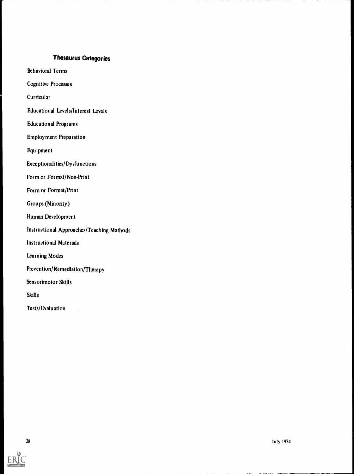# Thesaurus Categories

Behavioral Terms

Cognitive Processes

**Curricular** 

Educational Levels/Interest Levels

Educational Programs

Employment Preparation

Equipment

Exceptionalities/Dysfunctions

Form or Format/Non-Print

Form or Format/Print

Groups (Minoriiy)

Human Development

Instructional Approaches/Teaching Methods

Instructional Materials

Learning Modes

Prevention/Remediation/Therapy

Sensorimotor Skills

Skills

Tests/Evaluation .

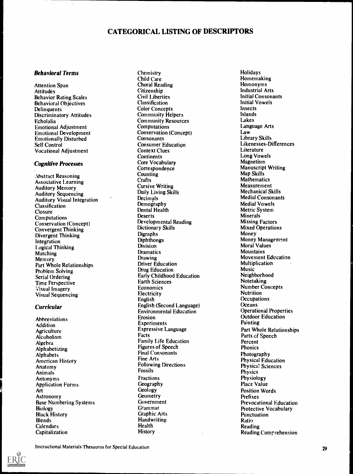## CATEGORICAL LISTING OF DESCRIPTORS

#### Behavioral Terms

Attention Span Attitudes Behavior Rating Scales Behavioral Objectives **Delinquents** Discriminatory Attitudes Echolalia Emotional Adjustment Emotional Development Emotionally Disturbed Self Control Vocational Adjustment

#### Cognitive Processes

Abstract Reasoning Associative Learning Auditory Memory Auditory Sequencing Auditory Visual Integration Classification **Closure** Computations Conservation (Concept) Convergent Thinking Divergent Thinking Integration Logical Thinking Matching Memory Part Whole Relationships Problem Solving Serial Ordering Time Perspective Visual Imagery Visual Sequencing

## Curricular

Abbreviations **Addition Agriculture** Alcoholism Algebra Alphabetizing Alphabets American History Anatomy Animals Antonyms Application Forms Art Astronomy Base Numbering Systems Biology Black History Blends **Calendars** Capitalization

Chemistry Child Care Choral Reading Citizenship Civil Liberties Classification Color Concepts Community Helpers Community Resources **Computations** Conservation (Concept) **Consonants** Consumer Education Context Clues **Continents** Core Vocabulary Correspondence **Counting Crafts** Cursive Writing Daily Living Skills Decimals Demography Dental Health **Deserts** Developmental Reading Dictionary Skills Digraphs Diphthongs **Division Dramatics** Drawing Driver Education Drug Education Early Childhood Education Earth Sciences Economics **Electricity** English English (Second Language) Environmental Education Erosion Experiments Expressive Language Facts Family Life Education Figures of Speech Final Consonants Fine Arts Following Directions Fossils **Fractions** Geography Geology **Geometry** Government Grammar Graphic Arts **Handwriting** Health History

Holidays Homemaking Homonyms Industrial Arts Initial Consonants Initial Vowels Insects Islands Lakes Language Arts Law Library Skills Likenesses-Differences Literature Long Vowels Magnetism Manuscript Writing Map Skills **Mathematics** Measurement Mechanical Skills Medial Consonants Medial Vowels Metric System **Minerals** Missing Factors Mixed Operations Money Money Management Moral Values **Mountains** Movement Education Multiplication Music Neighborhood Notetaking Number Concepts **Nutrition Occupations Oceans** Operational Properties Outdoor Education Painting Part Whole Relationships Parts of Speech Percent Phonics Photography Physical Education Physica! Sciences **Physics** Physiology Place Value Position Words Prefixes Prevocational Education Protective Vocabulary **Punctuation** Ratio Reading Reading Comr cehension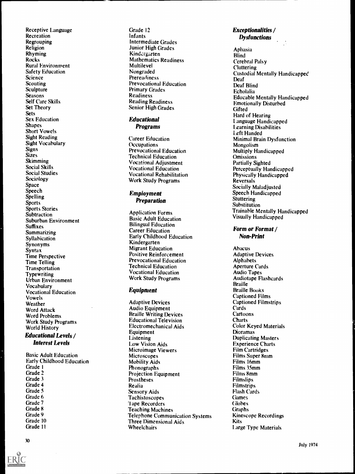Receptive Language Recreation Regrouping Religion Rhyming Rocks Rural Environment Safety Education Science Scouting Sculpture **Seasons** Self Care Skills Set Theory Sets Sex Education **Shapes** Short Vowels Sight Reading Sight Vocabulary Signs **Sizes** Skimming Social Skills Social Studies Sociology Space Speech Spelling Sports Sports Stories **Subtraction** Suburban Environment Suffixes **Summarizing** Syllabication Synonyms **Syntax** Time Perspective Time Telling Transportation **Typewriting** Urban Environment Vocabulary Vocational Education Vowels Weather Word Attack Word Problems Work Study Programs World History

## Educational Levels / Interest Levels

Basic Adult Education Early Childhood Education Grade I Grade 2 Grade 3 Grade 4 Grade 5 Grade 6 Grade 7 Grade 8 Grade 9 Grade 10 Grade 11

Grade 12 Infants Intermediate Grades Junior High Grades Kindergarten Mathematics Readiness Multilevel Nongraded **Prereadiness** Prevocational Education Primary Grades Readiness Reading Readiness Senior High Grades

## Educational Programs

Career Education **Occupations** Prevocational Education Technical Education Vocational Adjustment Vocational Education Vocational Rehabilitation Work Study Programs

## Employment Preparation

Application Forms Basic Adult Education Bilingual Education Career Education Early Childhood Education Kindergarten Migrant Education Positive Reinforcement Prevocational Education Technical Education Vocational Education Work Study Programs

## Equipment

Adaptive Devices Audio Equipment Braille Writing Devices Educational Television Electromechanical Aids Equipment **Listening** Low Vision Aids Microimage Viewers **Microscopes** Mobility Aids Phonographs Projection Equipment Prostheses Realia Sensory Aids Tachistoscopes 1 ape Recorders Teaching Machines Telephone Communication Systems Three Dimensional Aids **Wheelchairs** 

## Exceptionalities / **Dysfunctions**

Aphasia **Blind** Cerebral Palsy Cluttering Custodial Mentally Handicapped Deaf Deaf Blind Echolalia Educable Mentally Handicapped Emotionally Disturbed **Gifted** Hard of Hearing Language Handicapped Learning Disabilities Left Handed Minimal Brain Dysfunction Mongolism Multiply Handicapped **Omissions** Partially Sighted Perceptually Handicapped Physically Handicapped Reversals Socially Maladjusted Speech Handicapped **Stuttering** Substitution Trainable Mentally Handicapped Visually Handicapped

## Form or Format / Non-Print

Abacus Adaptive Devices Alphabets Aperture Cards Audio Tapes Audiotape Flashcards **Braille** Braille Books Captioned Films Captioned Filmstrips Cards Cartoons **Charts** Color Keyed Materials Dioramas Duplicating Masters Experience Charts Film Cartridges Films Super 8mm Films 16mm Films 35mm Films 8mm Filmslips Filmstrips Flash Cards **Games Globes** Graphs Kinescope Recordings Kits Large Type Materials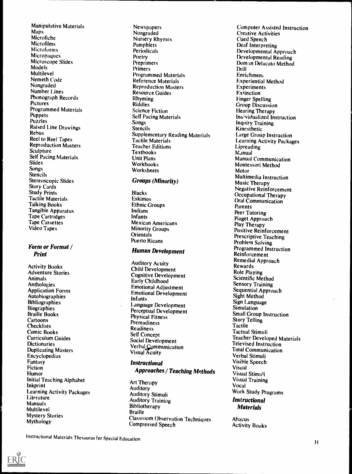Manipulative Materials Maps Microfiche Microfilms Microform Micropaques Microscope Slides Models Multilevel Nemeth Code Nongraded Number Lines Phonograph Records **Pictures** Programmed Materials Puppets Puzzles Raised Line Drawings Rebus Reel to Reel Tapes Reproduction Masters Sculpture Self Pacing Materials Slides Songs Stencils Stereoscopic Slides Story Cards Study Prints Tactile Materials Talking Books Tangible Apparatus Tape Cartridges Tape Cassettes Video Tapes

## Form or Format / Print

Activity Books Adventure Stories Animals Anthologies Application Forms Autobiographies **Bibliographies Biographies** Braille Books Cartoons **Checklists** Comic Books Curriculum Guides **Dictionaries** Duplicating Masters Encyclopedias Fantasy Fiction **Humor** Initial Teaching Alphabet Inkprint Learning Activity Packages **Literature Manuals** Multilevel Mystery Stories Mythology

Newspapers Nongraded Nursery Rhymes Pamphlets Periodicals Poetry **Preprimers** Primers Programmed Materials Reference Materials Reproduction Masters Resource Guides Rhyming Riddles Science Fiction Self Pacing Materials Songs **Stencils** Supplementary Reading Materials Tactile Materials Teacher Editions **Textbooks** Unit Plans Workbooks Worksheets

## Groups (Minority)

Blacks Eskimos Ethnic Groups Indians Infants Mexican Americans Minority Groups **Orientals** Puerto Ricans

## Human Development

Auditory Acuity Child Development Cognitive Development Early Childhood Emotional Adjustment Emotional Development Infants Language Development Perceptual Development Physical Fitness Prereadiness Readiness Self Concept Social Development Verbal Communication Visual Acuity

## Instructional

Approaches / Teaching Methods

Art Therapy Auditory Auditory Stimuli Auditory Training **Bibliotherapy** Braille Classroom Observation Techniques Compressed Speech

Computer Assisted Instruction Creative Activities Cued Speech Deaf Interpreting Developmental Approach Developmental Reading Doman Delacato Method Drill Enrichment Experiential Method Experiments **Extinction** Finger Spelling Group Discussion Hearing Therapy Ino'vidualized Instruction Inquiry Training Kinesthetic Large Group Instruction Learning Activity Packages Lipreading Manual Manual Communication Montessori Method Motor Multimedia Instruction Music Therapy Negative Reinforcement Occupational Therapy Oral Communication Parents Peer Tutoring Piaget Approach Play Therapy Positive Reinforcement Prescriptive Teaching Problem Solving Programmed Instruction Reinforcement Remedial Approach Rewards Role Playing Scientific Method Sensory Training Sequential Approach Sight Method Sign Language **Simulation** Small Group Instruction Story Telling Tactile Tactual Stimuli Teacher Developed Materials Televised Instruction Total Communication Verbal Stimuli Visible Speech Visual Visual Stimuli Visual Training Vocal Work Study Programs **Instructional** Materials

Abacus Activity Books

Instructional Materials Thesaurus for Special Education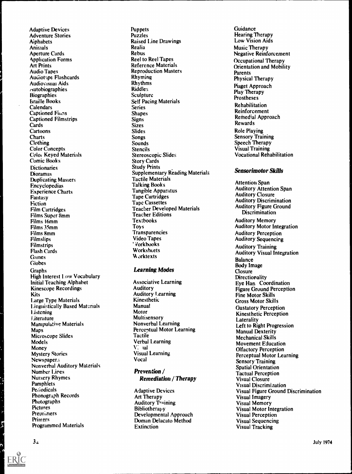Adaptive Devices Adventure Stories **A**iphabets Animals Aperture Cards Application Forms Art Prints Audio Tapes Auc/ioripe Flashcards Audiovisual Aids ?Autobiographies **Biographies** braille Books **Calendars** Captioned Finns Captioned Filmstrips **Cards** Cartoons **Charts Clothing** Color Concepts Color Keyed Materials Comic Books **Dictionaries** Dioramas Duplicating Masters Encyclopedias Experience Charts Fantasy **Fiction** Film Cartridges Films Super 8mm Films 16mm Films 35mm Films 8mm **Filmslips** Filmstrips Flash Cards **Games** Globes Graphs High Interest Low Vocabulary Initial Teaching Alphabet Kinescope Recordings **Kits** Large Type Materials Linguistically Based Materials literature Manipulative Materials Maps Microscope Slides Models **Money** Mystery Stories Newspaper:; Nonverbal Auditory Materials Number Lines Nursery Rhymes **Pamphlets Periodicals** Phonograph Records Photographs Pictures Preprimers Primers Programmed Materials

**Puppets** Puzzles Raised Line Drawings Realia<br>Rebus Rebus Reel to Reel Tapes Reference Materials Reproduction Masters Rhyming Rhythms Riddles Sculpture Self Pacing Materials Series Shapes **Signs Sizes** Slides Songs Sounds Stencils Stereoscopic Slides Story Cards Study Prints Supplementary Reading Materials Tactile Materials Talking Books Tangible Apparatus Tape Cartridges Tape Cassettes Teacher Developed Materials Teacher Editions **Textbooks** Toys **Transparencies** Video Tapes 1.Vorkbooks **Worksheets Worktexts** 

## Learning Modes

Associative Learning Auditory Auditory Learning Kinesthetic Manual Motor Multisensory Nonverbal Learning Perceptual Motor Learning **Tactile** Verbal Learning V: ial Visual Learning Vocal

## Prevention / Remediation / Therapy

Adaptive Devices Art Therapy Auditory Training Bibliotherapy Developmental Approach Doman Delacato Method Extinction

Guidance Hearing Therapy Low Vision Aids Music Therapy Negative Reinforcement Occupational Therapy Orientation and Mobility **Parents** Physical Therapy Piaget Approach Play Therapy Prostheses Rehabilitation Reinforcement Remedial Approach Rewards Role Playing Sensory Training Speech Therapy Visual Training Vocational Rehabilitation Training Therapy

## Sensorimotor Skills

Attention Span Auditory Attention Span Auditory Closure Auditory Discrimination Auditory Figure Ground **Discrimination** Auditory Memory Auditory Motor Integration Auditory Perception Auditory Sequencing Auditory Training Auditory Visual Integration Balance Body Image **Closure Directionality** Eye Han Coordination Figure Ground Perception Fine Motor Skills Gross Motor Skills Gustatory Perception Kinesthetic Perception **Laterality** Left to Right Progression Manual Dexterity Mechanical Skills Movement Education Olfactory Perception Perceptual Motor Learning Sensory Training Spatial Orientation Tactual Perception Visua Closure Visua Discrimination Visua Figure Ground Discrimination Visua Imagery Visua Memory Visua Motor Integration Visua Perception Visua Sequencing Visua Tracking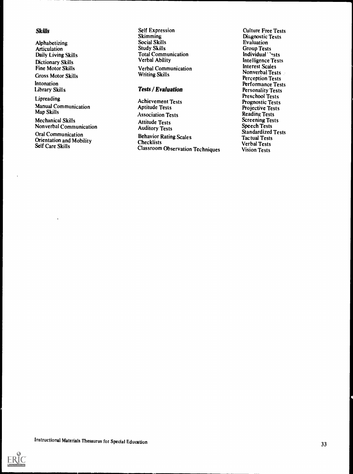## Skills

Alphabetizing Articulation Daily Living Skills Dictionary Skills Fine Motor Skills Gross Motor Skills

Intonation Library Skills

Lipreading Manual Communication Map Skills

Mechanical Skills Nonverbal Communication

Oral Communication Orientation and Mobility Self Care Skills

Self Expression Skimming Social Skills Study Skills Total Communication Verbal Ability Verbal Communication Writing Skills

## Tests / Evaluation

Achievement Tests Aptitude Tests Association Tests Attitude Tests Auditory Tests Behavior Rating Scales Checklists Classroom Observation Techniques

Culture Free Tests Diagnostic Tests Evaluation Group Tests Individual 'ests Intelligence Tests Interest Scales Nonverbal Tests Perception Tests Performance Tests Personality Tests Preschool Tests Prognostic Tests Projective Tests Reading Tests Screening Tests Speech Tests Standardized Tests Tactual Tests Verbal Tests Vision Tests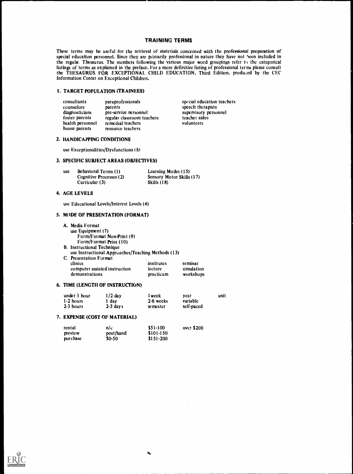#### TRAINING TERMS

These terms may be useful for the retrieval of materials concerned with the professional preparation of special education personnel. Since they are primarily professional in nature they have not been included in the regula. Thesaurus. The numbers following the various major word groupings refer to the categorical listings of terms as explained in the preface. For a more definitive listing of professional terms please consult the THESAURUS FOR EXCEPTIONAL CHILD EDUCATION, Third Edition, produced by the CEC Information Center on Exceptional Children.

education teachers

#### I. TARGET POPULATION (TRAINEES)

| <b>consultants</b> | paraprofessionals          | special education teach |
|--------------------|----------------------------|-------------------------|
| counselors         | parents                    | speech therapists       |
| diagnosticians     | pre-service personnel      | supervisory personnel   |
| foster parents     | regular classroom teachers | teacher aides           |
| health personnel   | remedial teachers          | volunteers              |
| house parents      | resource teachers          |                         |

#### 2. HANDICAPPING CONDITIONS

use Exceptionalities/Dysfunctions (8)

#### 3. SPECIFIC SUBJECT AREAS (OBJECTIVES)

| use | Behavioral Terms (1)    | Learning Modes (15)              |
|-----|-------------------------|----------------------------------|
|     | Cognitive Processes (2) | <b>Sensory Motor Skills (17)</b> |
|     | Curricular (3)          | Skills (18)                      |

#### 4. AGE LEVELS

use Educational Levels/Interest Levels (4)

#### 5. MODE OF PRESENTATION (FORMAT)

A. Media Format use Equipment (7) Form/Format Non-Print (9) Form/Format Print (10) B. Instructional Technique use Instructional Approaches/Teaching Methods (13) C. Presentation Format institutes seminar<br>lecture simulation computer assisted instruction lecture simulation<br>demonstrations practicum workshops demonstrations

#### 6. TIME (LENGTH OF INSTRUCTION)

| under 1 hour | $1/2$ day  | l week    | vear       | unit |
|--------------|------------|-----------|------------|------|
| $1-2$ hours  | 1 day      | 2-6 weeks | variable   |      |
| 2-3 hours    | $2-3$ days | semester  | self-paced |      |

#### 7. EXPENSE (COST OF MATERIAL)

| rental   | n/c          | \$51-100   | over $$200$ |
|----------|--------------|------------|-------------|
| preview  | post/hand    | \$101-150  |             |
| purchase | <b>SO-50</b> | $$151-200$ |             |